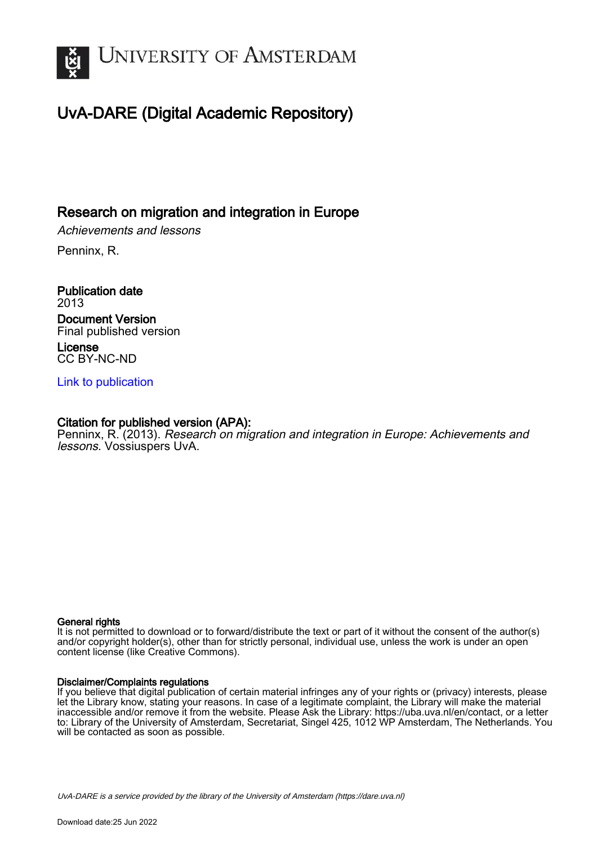

## UvA-DARE (Digital Academic Repository)

### Research on migration and integration in Europe

Achievements and lessons

Penninx, R.

Publication date 2013 Document Version Final published version License CC BY-NC-ND

[Link to publication](https://dare.uva.nl/personal/pure/en/publications/research-on-migration-and-integration-in-europe(997de326-1742-4d48-b61a-c3806e8eb730).html)

#### Citation for published version (APA):

Penninx, R. (2013). Research on migration and integration in Europe: Achievements and lessons. Vossiuspers UvA.

#### General rights

It is not permitted to download or to forward/distribute the text or part of it without the consent of the author(s) and/or copyright holder(s), other than for strictly personal, individual use, unless the work is under an open content license (like Creative Commons).

#### Disclaimer/Complaints regulations

If you believe that digital publication of certain material infringes any of your rights or (privacy) interests, please let the Library know, stating your reasons. In case of a legitimate complaint, the Library will make the material inaccessible and/or remove it from the website. Please Ask the Library: https://uba.uva.nl/en/contact, or a letter to: Library of the University of Amsterdam, Secretariat, Singel 425, 1012 WP Amsterdam, The Netherlands. You will be contacted as soon as possible.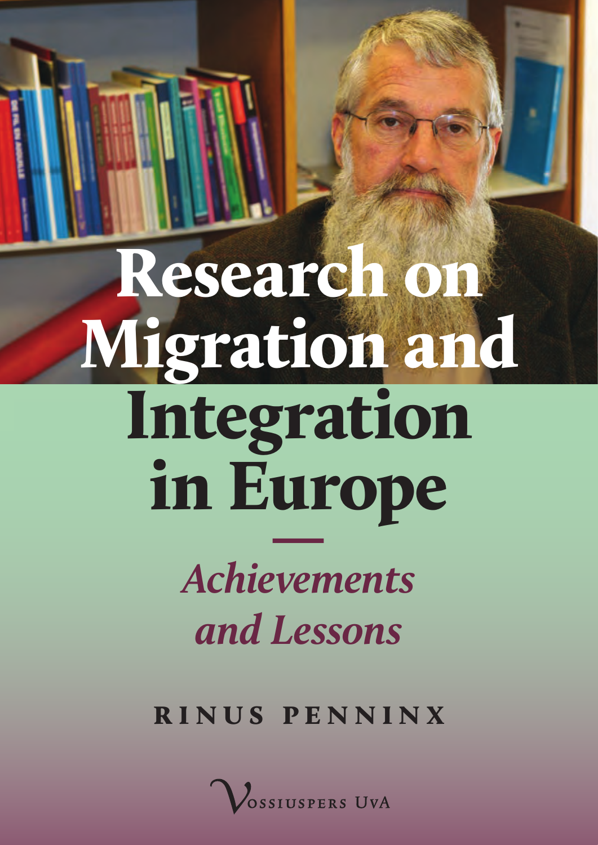Research on Migration and Integration in Europe *— Achievements*

# *and Lessons*

**Rinus Penninx**

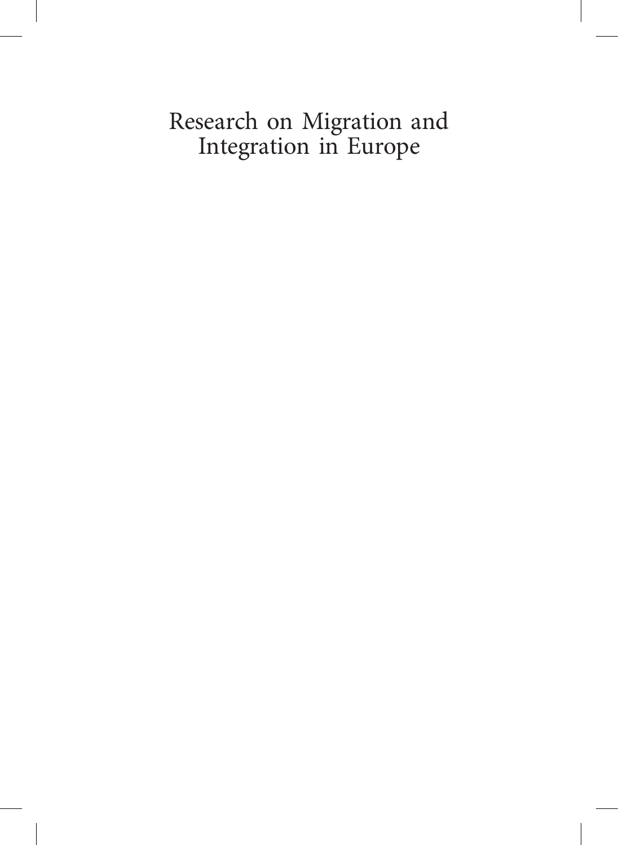## Research on Migration and Integration in Europe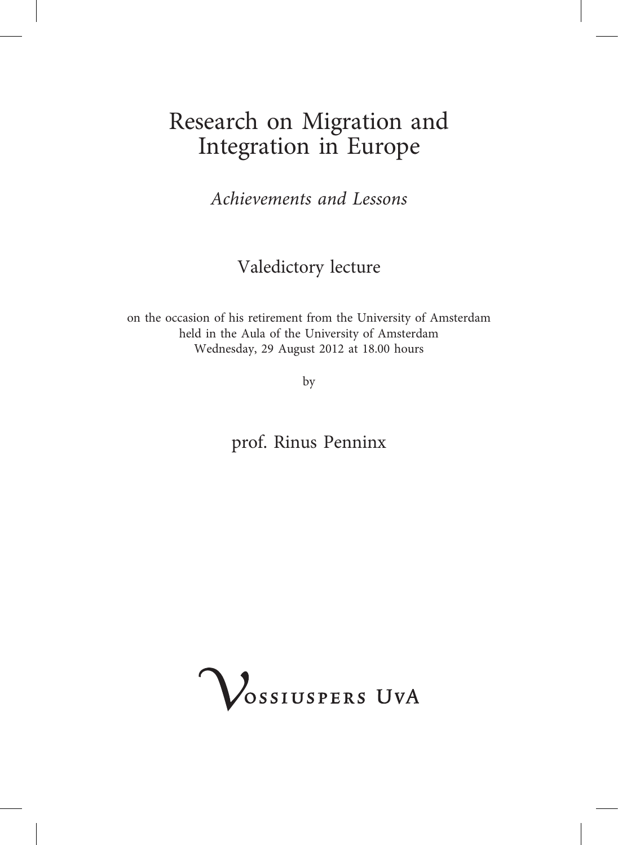## Research on Migration and Integration in Europe

Achievements and Lessons

Valedictory lecture

on the occasion of his retirement from the University of Amsterdam held in the Aula of the University of Amsterdam Wednesday, 29 August 2012 at 18.00 hours

by

prof. Rinus Penninx

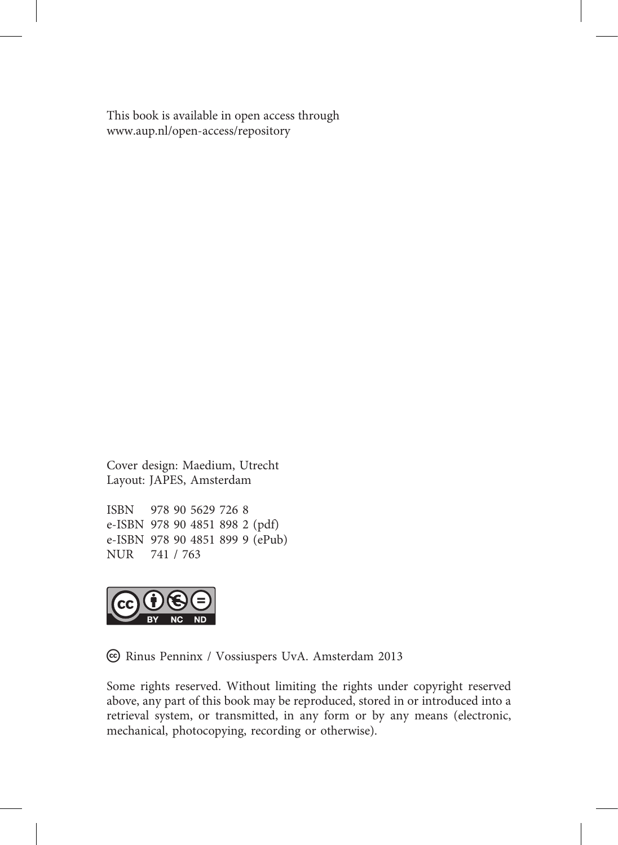This book is available in open access through <www.aup.nl/open-access/repository>

Cover design: Maedium, Utrecht Layout: JAPES, Amsterdam

ISBN 978 90 5629 726 8 e-ISBN 978 90 4851 898 2 (pdf) e-ISBN 978 90 4851 899 9 (ePub) NUR 741 / 763



c Rinus Penninx / Vossiuspers UvA. Amsterdam 2013

Some rights reserved. Without limiting the rights under copyright reserved above, any part of this book may be reproduced, stored in or introduced into a retrieval system, or transmitted, in any form or by any means (electronic, mechanical, photocopying, recording or otherwise).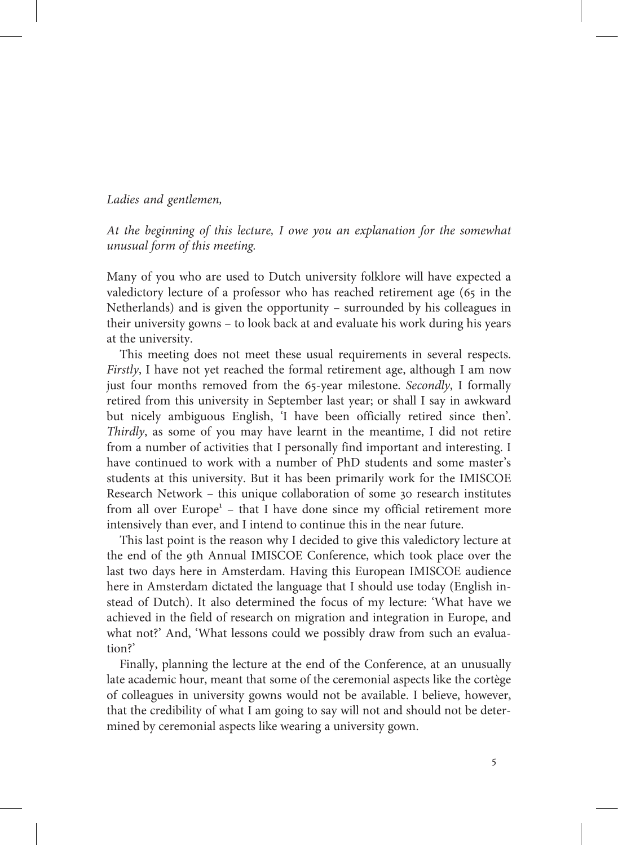#### Ladies and gentlemen,

At the beginning of this lecture, I owe you an explanation for the somewhat unusual form of this meeting.

Many of you who are used to Dutch university folklore will have expected a valedictory lecture of a professor who has reached retirement age (65 in the Netherlands) and is given the opportunity – surrounded by his colleagues in their university gowns – to look back at and evaluate his work during his years at the university.

This meeting does not meet these usual requirements in several respects. Firstly, I have not yet reached the formal retirement age, although I am now just four months removed from the 65-year milestone. Secondly, I formally retired from this university in September last year; or shall I say in awkward but nicely ambiguous English, 'I have been officially retired since then'. Thirdly, as some of you may have learnt in the meantime, I did not retire from a number of activities that I personally find important and interesting. I have continued to work with a number of PhD students and some master's students at this university. But it has been primarily work for the IMISCOE Research Network – this unique collaboration of some 30 research institutes from all over Europe<sup>1</sup> – that I have done since my official retirement more intensively than ever, and I intend to continue this in the near future.

This last point is the reason why I decided to give this valedictory lecture at the end of the 9th Annual IMISCOE Conference, which took place over the last two days here in Amsterdam. Having this European IMISCOE audience here in Amsterdam dictated the language that I should use today (English instead of Dutch). It also determined the focus of my lecture: 'What have we achieved in the field of research on migration and integration in Europe, and what not?' And, 'What lessons could we possibly draw from such an evaluation?'

Finally, planning the lecture at the end of the Conference, at an unusually late academic hour, meant that some of the ceremonial aspects like the cortège of colleagues in university gowns would not be available. I believe, however, that the credibility of what I am going to say will not and should not be determined by ceremonial aspects like wearing a university gown.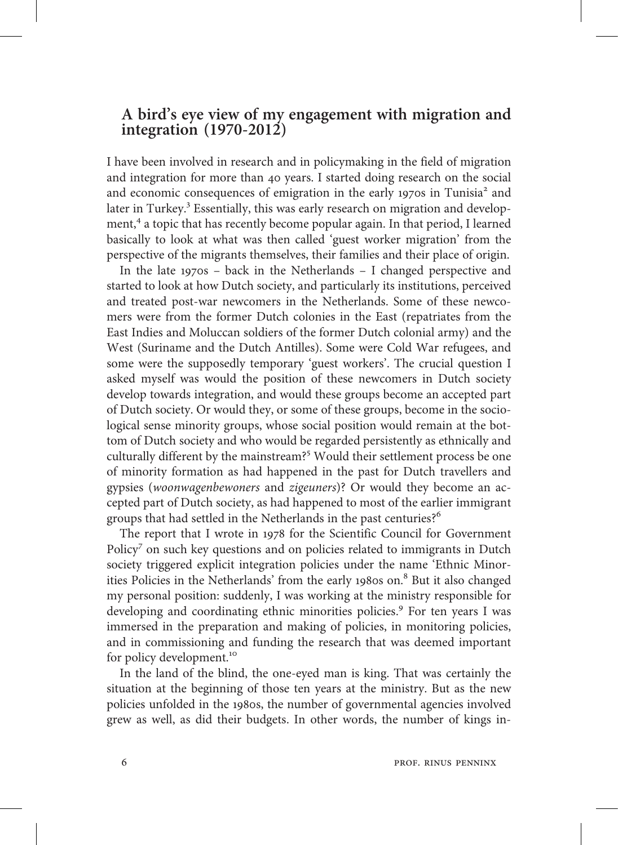## A bird's eye view of my engagement with migration and integration (1970-2012)

I have been involved in research and in policymaking in the field of migration and integration for more than 40 years. I started doing research on the social and economic consequences of emigration in the early 1970s in Tunisia<sup>2</sup> and later in Turkey.<sup>3</sup> Essentially, this was early research on migration and development,<sup>4</sup> a topic that has recently become popular again. In that period, I learned basically to look at what was then called 'guest worker migration' from the perspective of the migrants themselves, their families and their place of origin.

In the late  $1970s$  – back in the Netherlands – I changed perspective and started to look at how Dutch society, and particularly its institutions, perceived and treated post-war newcomers in the Netherlands. Some of these newcomers were from the former Dutch colonies in the East (repatriates from the East Indies and Moluccan soldiers of the former Dutch colonial army) and the West (Suriname and the Dutch Antilles). Some were Cold War refugees, and some were the supposedly temporary 'guest workers'. The crucial question I asked myself was would the position of these newcomers in Dutch society develop towards integration, and would these groups become an accepted part of Dutch society. Or would they, or some of these groups, become in the sociological sense minority groups, whose social position would remain at the bottom of Dutch society and who would be regarded persistently as ethnically and culturally different by the mainstream?<sup>5</sup> Would their settlement process be one of minority formation as had happened in the past for Dutch travellers and gypsies (woonwagenbewoners and zigeuners)? Or would they become an accepted part of Dutch society, as had happened to most of the earlier immigrant groups that had settled in the Netherlands in the past centuries?

The report that I wrote in 1978 for the Scientific Council for Government Policy<sup>7</sup> on such key questions and on policies related to immigrants in Dutch society triggered explicit integration policies under the name 'Ethnic Minorities Policies in the Netherlands' from the early 1980s on.<sup>8</sup> But it also changed my personal position: suddenly, I was working at the ministry responsible for developing and coordinating ethnic minorities policies.<sup>9</sup> For ten years I was immersed in the preparation and making of policies, in monitoring policies, and in commissioning and funding the research that was deemed important for policy development.

In the land of the blind, the one-eyed man is king. That was certainly the situation at the beginning of those ten years at the ministry. But as the new policies unfolded in the 1980s, the number of governmental agencies involved grew as well, as did their budgets. In other words, the number of kings in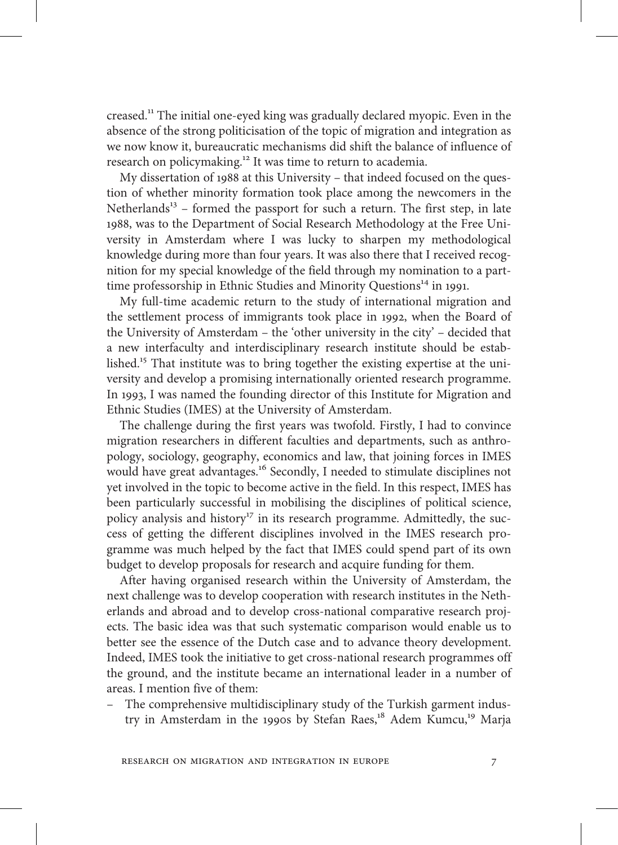creased.<sup>11</sup> The initial one-eyed king was gradually declared myopic. Even in the absence of the strong politicisation of the topic of migration and integration as we now know it, bureaucratic mechanisms did shift the balance of influence of research on policymaking.<sup>12</sup> It was time to return to academia.

My dissertation of 1988 at this University – that indeed focused on the question of whether minority formation took place among the newcomers in the Netherlands<sup>13</sup> – formed the passport for such a return. The first step, in late 1988, was to the Department of Social Research Methodology at the Free University in Amsterdam where I was lucky to sharpen my methodological knowledge during more than four years. It was also there that I received recognition for my special knowledge of the field through my nomination to a parttime professorship in Ethnic Studies and Minority Questions<sup>14</sup> in 1991.

My full-time academic return to the study of international migration and the settlement process of immigrants took place in 1992, when the Board of the University of Amsterdam – the 'other university in the city' – decided that a new interfaculty and interdisciplinary research institute should be established.<sup>15</sup> That institute was to bring together the existing expertise at the university and develop a promising internationally oriented research programme. In 1993, I was named the founding director of this Institute for Migration and Ethnic Studies (IMES) at the University of Amsterdam.

The challenge during the first years was twofold. Firstly, I had to convince migration researchers in different faculties and departments, such as anthropology, sociology, geography, economics and law, that joining forces in IMES would have great advantages.<sup>16</sup> Secondly, I needed to stimulate disciplines not yet involved in the topic to become active in the field. In this respect, IMES has been particularly successful in mobilising the disciplines of political science, policy analysis and history<sup>17</sup> in its research programme. Admittedly, the success of getting the different disciplines involved in the IMES research programme was much helped by the fact that IMES could spend part of its own budget to develop proposals for research and acquire funding for them.

After having organised research within the University of Amsterdam, the next challenge was to develop cooperation with research institutes in the Netherlands and abroad and to develop cross-national comparative research projects. The basic idea was that such systematic comparison would enable us to better see the essence of the Dutch case and to advance theory development. Indeed, IMES took the initiative to get cross-national research programmes off the ground, and the institute became an international leader in a number of areas. I mention five of them:

– The comprehensive multidisciplinary study of the Turkish garment industry in Amsterdam in the 1990s by Stefan Raes,<sup>18</sup> Adem Kumcu,<sup>19</sup> Marja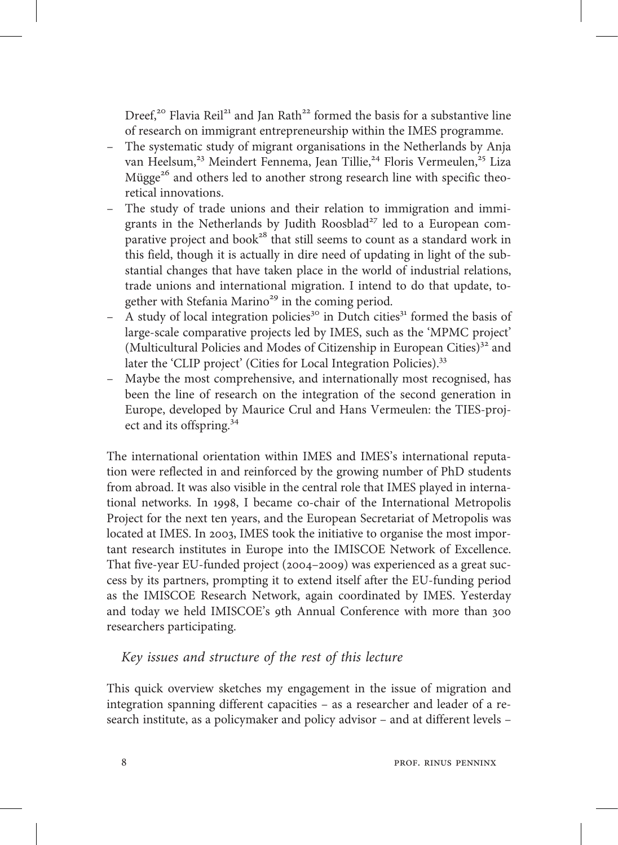Dreef,<sup>20</sup> Flavia Reil<sup>21</sup> and Jan Rath<sup>22</sup> formed the basis for a substantive line of research on immigrant entrepreneurship within the IMES programme.

- The systematic study of migrant organisations in the Netherlands by Anja van Heelsum,<sup>23</sup> Meindert Fennema, Jean Tillie,<sup>24</sup> Floris Vermeulen,<sup>25</sup> Liza Mügge<sup>26</sup> and others led to another strong research line with specific theoretical innovations.
- The study of trade unions and their relation to immigration and immigrants in the Netherlands by Judith Roosblad<sup>27</sup> led to a European comparative project and book<sup>28</sup> that still seems to count as a standard work in this field, though it is actually in dire need of updating in light of the substantial changes that have taken place in the world of industrial relations, trade unions and international migration. I intend to do that update, together with Stefania Marino $^{29}$  in the coming period.
- A study of local integration policies<sup>30</sup> in Dutch cities<sup>31</sup> formed the basis of large-scale comparative projects led by IMES, such as the 'MPMC project' (Multicultural Policies and Modes of Citizenship in European Cities) $32$  and later the 'CLIP project' (Cities for Local Integration Policies).<sup>33</sup>
- Maybe the most comprehensive, and internationally most recognised, has been the line of research on the integration of the second generation in Europe, developed by Maurice Crul and Hans Vermeulen: the TIES-project and its offspring.<sup>34</sup>

The international orientation within IMES and IMES's international reputation were reflected in and reinforced by the growing number of PhD students from abroad. It was also visible in the central role that IMES played in international networks. In 1998, I became co-chair of the International Metropolis Project for the next ten years, and the European Secretariat of Metropolis was located at IMES. In 2003, IMES took the initiative to organise the most important research institutes in Europe into the IMISCOE Network of Excellence. That five-year EU-funded project (2004-2009) was experienced as a great success by its partners, prompting it to extend itself after the EU-funding period as the IMISCOE Research Network, again coordinated by IMES. Yesterday and today we held IMISCOE's 9th Annual Conference with more than 300 researchers participating.

#### Key issues and structure of the rest of this lecture

This quick overview sketches my engagement in the issue of migration and integration spanning different capacities – as a researcher and leader of a research institute, as a policymaker and policy advisor – and at different levels –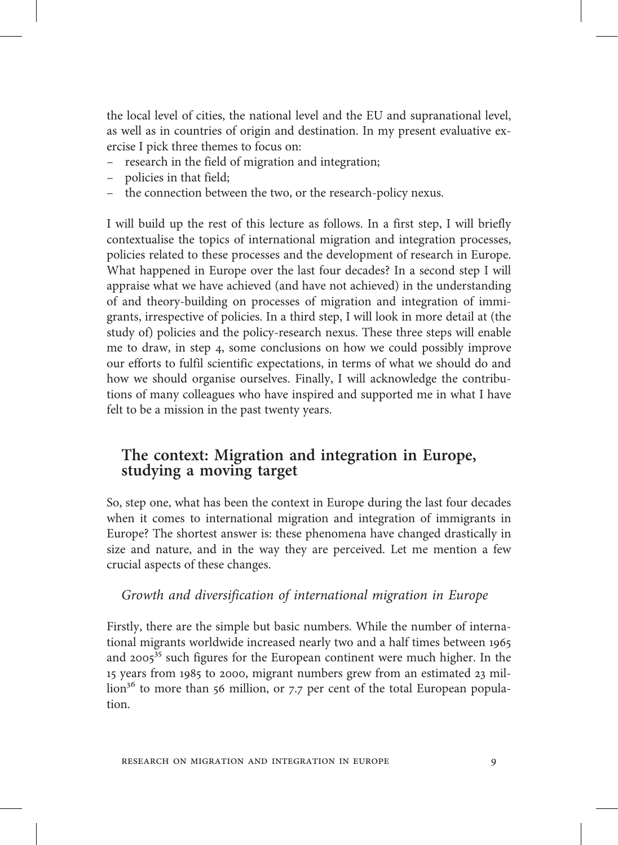the local level of cities, the national level and the EU and supranational level, as well as in countries of origin and destination. In my present evaluative exercise I pick three themes to focus on:

- research in the field of migration and integration;
- policies in that field;
- the connection between the two, or the research-policy nexus.

I will build up the rest of this lecture as follows. In a first step, I will briefly contextualise the topics of international migration and integration processes, policies related to these processes and the development of research in Europe. What happened in Europe over the last four decades? In a second step I will appraise what we have achieved (and have not achieved) in the understanding of and theory-building on processes of migration and integration of immigrants, irrespective of policies. In a third step, I will look in more detail at (the study of) policies and the policy-research nexus. These three steps will enable me to draw, in step 4, some conclusions on how we could possibly improve our efforts to fulfil scientific expectations, in terms of what we should do and how we should organise ourselves. Finally, I will acknowledge the contributions of many colleagues who have inspired and supported me in what I have felt to be a mission in the past twenty years.

#### The context: Migration and integration in Europe, studying a moving target

So, step one, what has been the context in Europe during the last four decades when it comes to international migration and integration of immigrants in Europe? The shortest answer is: these phenomena have changed drastically in size and nature, and in the way they are perceived. Let me mention a few crucial aspects of these changes.

#### Growth and diversification of international migration in Europe

Firstly, there are the simple but basic numbers. While the number of international migrants worldwide increased nearly two and a half times between and  $2005^{35}$  such figures for the European continent were much higher. In the 15 years from 1985 to 2000, migrant numbers grew from an estimated 23 million<sup>36</sup> to more than 56 million, or 7.7 per cent of the total European population.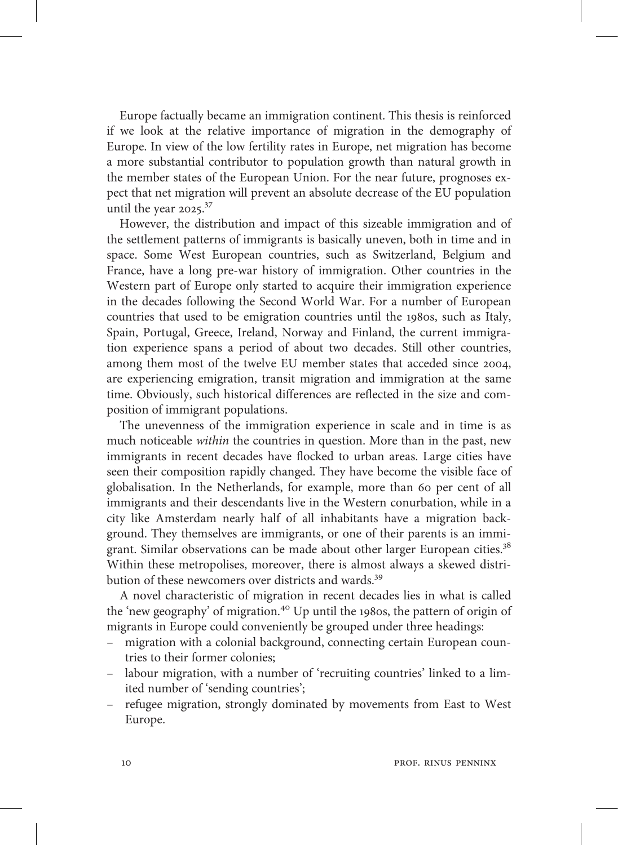Europe factually became an immigration continent. This thesis is reinforced if we look at the relative importance of migration in the demography of Europe. In view of the low fertility rates in Europe, net migration has become a more substantial contributor to population growth than natural growth in the member states of the European Union. For the near future, prognoses expect that net migration will prevent an absolute decrease of the EU population until the year  $2025.^{37}$ 

However, the distribution and impact of this sizeable immigration and of the settlement patterns of immigrants is basically uneven, both in time and in space. Some West European countries, such as Switzerland, Belgium and France, have a long pre-war history of immigration. Other countries in the Western part of Europe only started to acquire their immigration experience in the decades following the Second World War. For a number of European countries that used to be emigration countries until the 1980s, such as Italy, Spain, Portugal, Greece, Ireland, Norway and Finland, the current immigration experience spans a period of about two decades. Still other countries, among them most of the twelve EU member states that acceded since 2004, are experiencing emigration, transit migration and immigration at the same time. Obviously, such historical differences are reflected in the size and composition of immigrant populations.

The unevenness of the immigration experience in scale and in time is as much noticeable within the countries in question. More than in the past, new immigrants in recent decades have flocked to urban areas. Large cities have seen their composition rapidly changed. They have become the visible face of globalisation. In the Netherlands, for example, more than 60 per cent of all immigrants and their descendants live in the Western conurbation, while in a city like Amsterdam nearly half of all inhabitants have a migration background. They themselves are immigrants, or one of their parents is an immigrant. Similar observations can be made about other larger European cities.<sup>38</sup> Within these metropolises, moreover, there is almost always a skewed distribution of these newcomers over districts and wards.<sup>39</sup>

A novel characteristic of migration in recent decades lies in what is called the 'new geography' of migration.<sup>40</sup> Up until the 1980s, the pattern of origin of migrants in Europe could conveniently be grouped under three headings:

- migration with a colonial background, connecting certain European countries to their former colonies;
- labour migration, with a number of 'recruiting countries' linked to a limited number of 'sending countries';
- refugee migration, strongly dominated by movements from East to West Europe.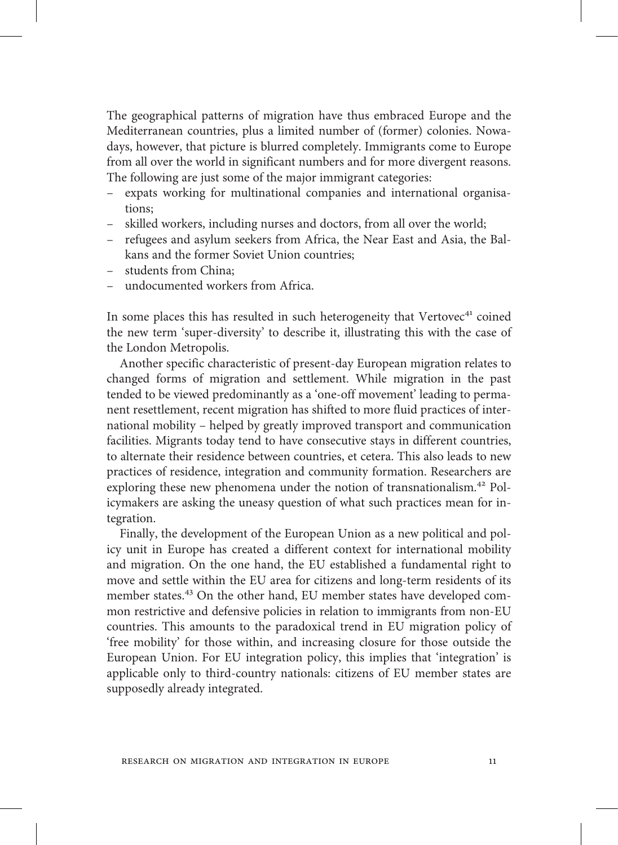The geographical patterns of migration have thus embraced Europe and the Mediterranean countries, plus a limited number of (former) colonies. Nowadays, however, that picture is blurred completely. Immigrants come to Europe from all over the world in significant numbers and for more divergent reasons. The following are just some of the major immigrant categories:

- expats working for multinational companies and international organisations;
- skilled workers, including nurses and doctors, from all over the world;
- refugees and asylum seekers from Africa, the Near East and Asia, the Balkans and the former Soviet Union countries;
- students from China;
- undocumented workers from Africa.

In some places this has resulted in such heterogeneity that Vertovec<sup>41</sup> coined the new term 'super-diversity' to describe it, illustrating this with the case of the London Metropolis.

Another specific characteristic of present-day European migration relates to changed forms of migration and settlement. While migration in the past tended to be viewed predominantly as a 'one-off movement' leading to permanent resettlement, recent migration has shifted to more fluid practices of international mobility – helped by greatly improved transport and communication facilities. Migrants today tend to have consecutive stays in different countries, to alternate their residence between countries, et cetera. This also leads to new practices of residence, integration and community formation. Researchers are exploring these new phenomena under the notion of transnationalism.<sup>42</sup> Policymakers are asking the uneasy question of what such practices mean for integration.

Finally, the development of the European Union as a new political and policy unit in Europe has created a different context for international mobility and migration. On the one hand, the EU established a fundamental right to move and settle within the EU area for citizens and long-term residents of its member states.<sup>43</sup> On the other hand, EU member states have developed common restrictive and defensive policies in relation to immigrants from non-EU countries. This amounts to the paradoxical trend in EU migration policy of 'free mobility' for those within, and increasing closure for those outside the European Union. For EU integration policy, this implies that 'integration' is applicable only to third-country nationals: citizens of EU member states are supposedly already integrated.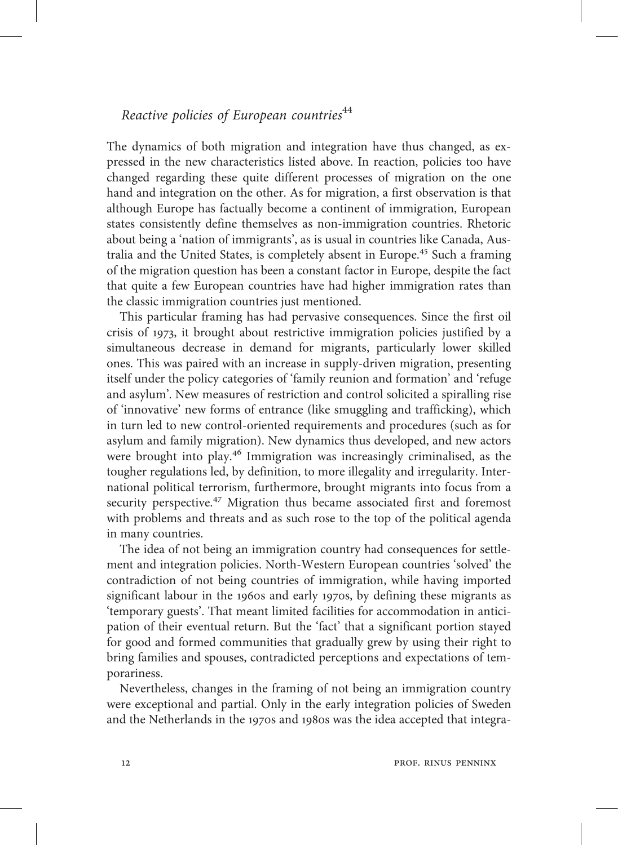#### Reactive policies of European countries<sup>44</sup>

The dynamics of both migration and integration have thus changed, as expressed in the new characteristics listed above. In reaction, policies too have changed regarding these quite different processes of migration on the one hand and integration on the other. As for migration, a first observation is that although Europe has factually become a continent of immigration, European states consistently define themselves as non-immigration countries. Rhetoric about being a 'nation of immigrants', as is usual in countries like Canada, Australia and the United States, is completely absent in Europe.<sup>45</sup> Such a framing of the migration question has been a constant factor in Europe, despite the fact that quite a few European countries have had higher immigration rates than the classic immigration countries just mentioned.

This particular framing has had pervasive consequences. Since the first oil crisis of 1973, it brought about restrictive immigration policies justified by a simultaneous decrease in demand for migrants, particularly lower skilled ones. This was paired with an increase in supply-driven migration, presenting itself under the policy categories of 'family reunion and formation' and 'refuge and asylum'. New measures of restriction and control solicited a spiralling rise of 'innovative' new forms of entrance (like smuggling and trafficking), which in turn led to new control-oriented requirements and procedures (such as for asylum and family migration). New dynamics thus developed, and new actors were brought into play.<sup>46</sup> Immigration was increasingly criminalised, as the tougher regulations led, by definition, to more illegality and irregularity. International political terrorism, furthermore, brought migrants into focus from a security perspective.<sup>47</sup> Migration thus became associated first and foremost with problems and threats and as such rose to the top of the political agenda in many countries.

The idea of not being an immigration country had consequences for settlement and integration policies. North-Western European countries 'solved' the contradiction of not being countries of immigration, while having imported significant labour in the 1960s and early 1970s, by defining these migrants as 'temporary guests'. That meant limited facilities for accommodation in anticipation of their eventual return. But the 'fact' that a significant portion stayed for good and formed communities that gradually grew by using their right to bring families and spouses, contradicted perceptions and expectations of temporariness.

Nevertheless, changes in the framing of not being an immigration country were exceptional and partial. Only in the early integration policies of Sweden and the Netherlands in the 1970s and 1980s was the idea accepted that integra-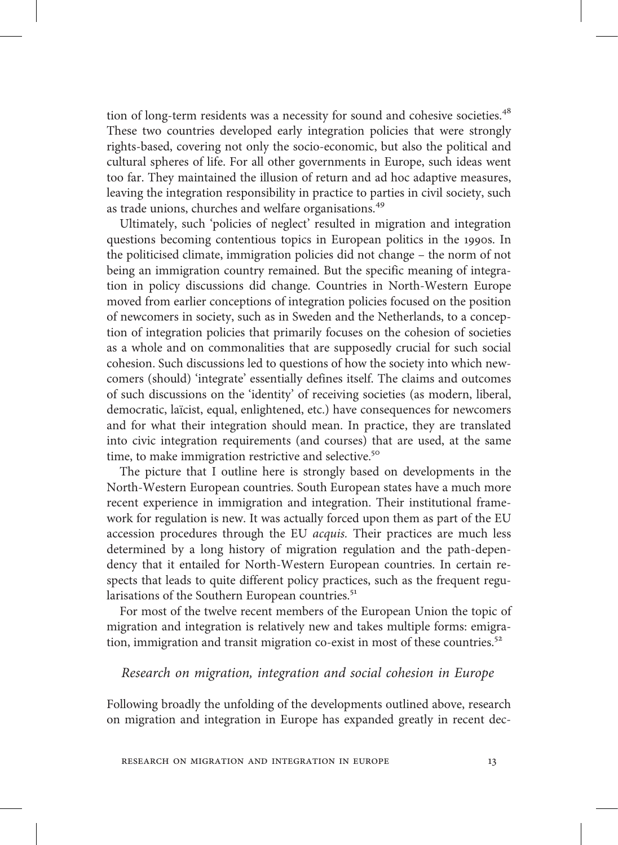tion of long-term residents was a necessity for sound and cohesive societies.<sup>48</sup> These two countries developed early integration policies that were strongly rights-based, covering not only the socio-economic, but also the political and cultural spheres of life. For all other governments in Europe, such ideas went too far. They maintained the illusion of return and ad hoc adaptive measures, leaving the integration responsibility in practice to parties in civil society, such as trade unions, churches and welfare organisations.

Ultimately, such 'policies of neglect' resulted in migration and integration questions becoming contentious topics in European politics in the 1990s. In the politicised climate, immigration policies did not change – the norm of not being an immigration country remained. But the specific meaning of integration in policy discussions did change. Countries in North-Western Europe moved from earlier conceptions of integration policies focused on the position of newcomers in society, such as in Sweden and the Netherlands, to a conception of integration policies that primarily focuses on the cohesion of societies as a whole and on commonalities that are supposedly crucial for such social cohesion. Such discussions led to questions of how the society into which newcomers (should) 'integrate' essentially defines itself. The claims and outcomes of such discussions on the 'identity' of receiving societies (as modern, liberal, democratic, laïcist, equal, enlightened, etc.) have consequences for newcomers and for what their integration should mean. In practice, they are translated into civic integration requirements (and courses) that are used, at the same time, to make immigration restrictive and selective.<sup>50</sup>

The picture that I outline here is strongly based on developments in the North-Western European countries. South European states have a much more recent experience in immigration and integration. Their institutional framework for regulation is new. It was actually forced upon them as part of the EU accession procedures through the EU acquis. Their practices are much less determined by a long history of migration regulation and the path-dependency that it entailed for North-Western European countries. In certain respects that leads to quite different policy practices, such as the frequent regularisations of the Southern European countries.<sup>51</sup>

For most of the twelve recent members of the European Union the topic of migration and integration is relatively new and takes multiple forms: emigration, immigration and transit migration co-exist in most of these countries.<sup>52</sup>

#### Research on migration, integration and social cohesion in Europe

Following broadly the unfolding of the developments outlined above, research on migration and integration in Europe has expanded greatly in recent dec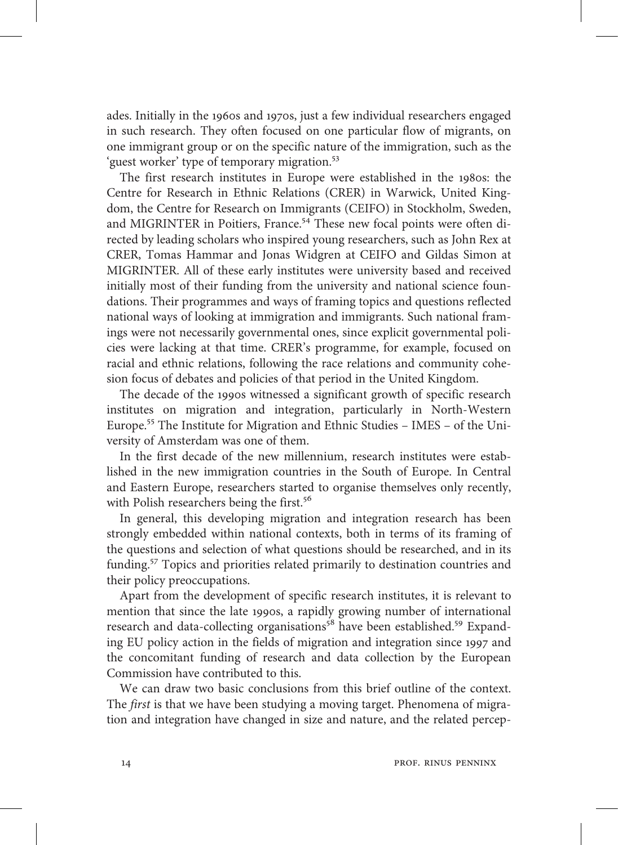ades. Initially in the 1960s and 1970s, just a few individual researchers engaged in such research. They often focused on one particular flow of migrants, on one immigrant group or on the specific nature of the immigration, such as the 'guest worker' type of temporary migration.<sup>53</sup>

The first research institutes in Europe were established in the 1980s: the Centre for Research in Ethnic Relations (CRER) in Warwick, United Kingdom, the Centre for Research on Immigrants (CEIFO) in Stockholm, Sweden, and MIGRINTER in Poitiers, France.<sup>54</sup> These new focal points were often directed by leading scholars who inspired young researchers, such as John Rex at CRER, Tomas Hammar and Jonas Widgren at CEIFO and Gildas Simon at MIGRINTER. All of these early institutes were university based and received initially most of their funding from the university and national science foundations. Their programmes and ways of framing topics and questions reflected national ways of looking at immigration and immigrants. Such national framings were not necessarily governmental ones, since explicit governmental policies were lacking at that time. CRER's programme, for example, focused on racial and ethnic relations, following the race relations and community cohesion focus of debates and policies of that period in the United Kingdom.

The decade of the 1990s witnessed a significant growth of specific research institutes on migration and integration, particularly in North-Western Europe.<sup>55</sup> The Institute for Migration and Ethnic Studies - IMES - of the University of Amsterdam was one of them.

In the first decade of the new millennium, research institutes were established in the new immigration countries in the South of Europe. In Central and Eastern Europe, researchers started to organise themselves only recently, with Polish researchers being the first.<sup>56</sup>

In general, this developing migration and integration research has been strongly embedded within national contexts, both in terms of its framing of the questions and selection of what questions should be researched, and in its funding.<sup>57</sup> Topics and priorities related primarily to destination countries and their policy preoccupations.

Apart from the development of specific research institutes, it is relevant to mention that since the late 1990s, a rapidly growing number of international research and data-collecting organisations<sup>58</sup> have been established.<sup>59</sup> Expanding EU policy action in the fields of migration and integration since 1997 and the concomitant funding of research and data collection by the European Commission have contributed to this.

We can draw two basic conclusions from this brief outline of the context. The first is that we have been studying a moving target. Phenomena of migration and integration have changed in size and nature, and the related percep-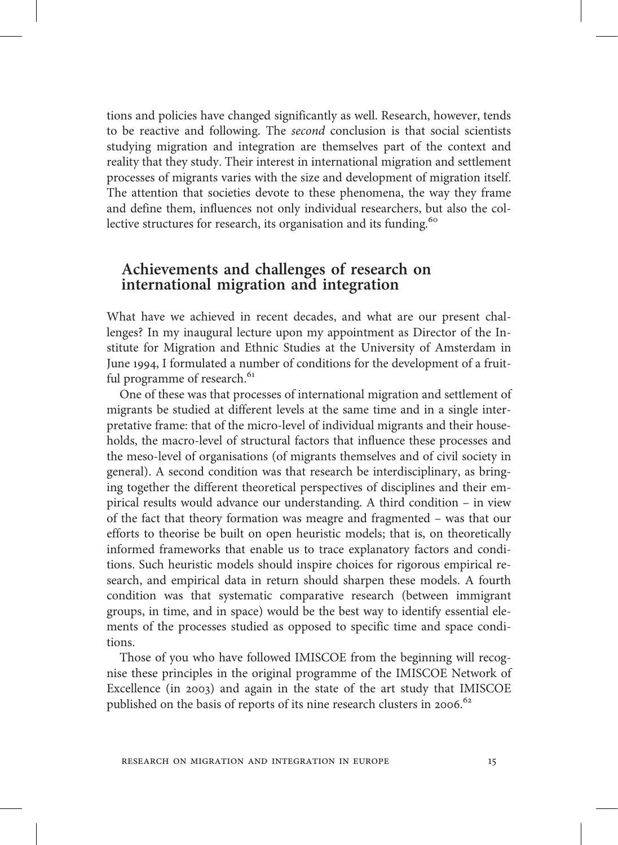tions and policies have changed significantly as well. Research, however, tends to be reactive and following. The second conclusion is that social scientists studying migration and integration are themselves part of the context and reality that they study. Their interest in international migration and settlement processes of migrants varies with the size and development of migration itself. The attention that societies devote to these phenomena, the way they frame and define them, influences not only individual researchers, but also the collective structures for research, its organisation and its funding.

#### Achievements and challenges of research on international migration and integration

What have we achieved in recent decades, and what are our present challenges? In my inaugural lecture upon my appointment as Director of the Institute for Migration and Ethnic Studies at the University of Amsterdam in June 1994, I formulated a number of conditions for the development of a fruitful programme of research.<sup>61</sup>

One of these was that processes of international migration and settlement of migrants be studied at different levels at the same time and in a single interpretative frame: that of the micro-level of individual migrants and their households, the macro-level of structural factors that influence these processes and the meso-level of organisations (of migrants themselves and of civil society in general). A second condition was that research be interdisciplinary, as bringing together the different theoretical perspectives of disciplines and their empirical results would advance our understanding. A third condition – in view of the fact that theory formation was meagre and fragmented – was that our efforts to theorise be built on open heuristic models; that is, on theoretically informed frameworks that enable us to trace explanatory factors and conditions. Such heuristic models should inspire choices for rigorous empirical research, and empirical data in return should sharpen these models. A fourth condition was that systematic comparative research (between immigrant groups, in time, and in space) would be the best way to identify essential elements of the processes studied as opposed to specific time and space conditions.

Those of you who have followed IMISCOE from the beginning will recognise these principles in the original programme of the IMISCOE Network of Excellence (in 2003) and again in the state of the art study that IMISCOE published on the basis of reports of its nine research clusters in 2006.<sup>62</sup>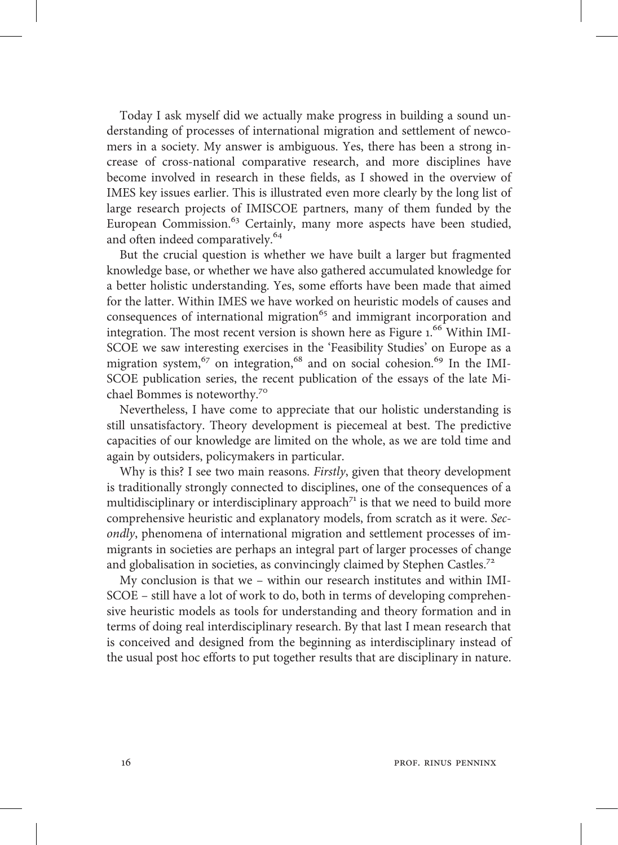Today I ask myself did we actually make progress in building a sound understanding of processes of international migration and settlement of newcomers in a society. My answer is ambiguous. Yes, there has been a strong increase of cross-national comparative research, and more disciplines have become involved in research in these fields, as I showed in the overview of IMES key issues earlier. This is illustrated even more clearly by the long list of large research projects of IMISCOE partners, many of them funded by the European Commission.<sup>63</sup> Certainly, many more aspects have been studied, and often indeed comparatively.

But the crucial question is whether we have built a larger but fragmented knowledge base, or whether we have also gathered accumulated knowledge for a better holistic understanding. Yes, some efforts have been made that aimed for the latter. Within IMES we have worked on heuristic models of causes and consequences of international migration and immigrant incorporation and integration. The most recent version is shown here as Figure 1.<sup>66</sup> Within IMI-SCOE we saw interesting exercises in the 'Feasibility Studies' on Europe as a migration system,  $67$  on integration,  $68$  and on social cohesion.  $69$  In the IMI-SCOE publication series, the recent publication of the essays of the late Michael Bommes is noteworthy.

Nevertheless, I have come to appreciate that our holistic understanding is still unsatisfactory. Theory development is piecemeal at best. The predictive capacities of our knowledge are limited on the whole, as we are told time and again by outsiders, policymakers in particular.

Why is this? I see two main reasons. Firstly, given that theory development is traditionally strongly connected to disciplines, one of the consequences of a multidisciplinary or interdisciplinary approach<sup> $71$ </sup> is that we need to build more comprehensive heuristic and explanatory models, from scratch as it were. Secondly, phenomena of international migration and settlement processes of immigrants in societies are perhaps an integral part of larger processes of change and globalisation in societies, as convincingly claimed by Stephen Castles.<sup>72</sup>

My conclusion is that we – within our research institutes and within IMI-SCOE – still have a lot of work to do, both in terms of developing comprehensive heuristic models as tools for understanding and theory formation and in terms of doing real interdisciplinary research. By that last I mean research that is conceived and designed from the beginning as interdisciplinary instead of the usual post hoc efforts to put together results that are disciplinary in nature.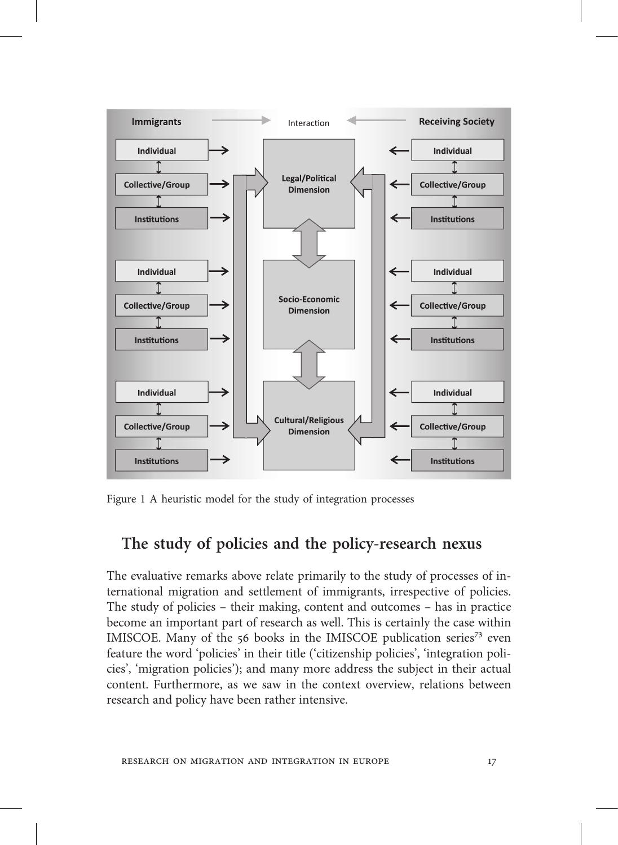

Figure 1 A heuristic model for the study of integration processes

#### The study of policies and the policy-research nexus

The evaluative remarks above relate primarily to the study of processes of international migration and settlement of immigrants, irrespective of policies. The study of policies – their making, content and outcomes – has in practice become an important part of research as well. This is certainly the case within IMISCOE. Many of the  $56$  books in the IMISCOE publication series<sup>73</sup> even feature the word 'policies' in their title ('citizenship policies', 'integration policies', 'migration policies'); and many more address the subject in their actual content. Furthermore, as we saw in the context overview, relations between research and policy have been rather intensive.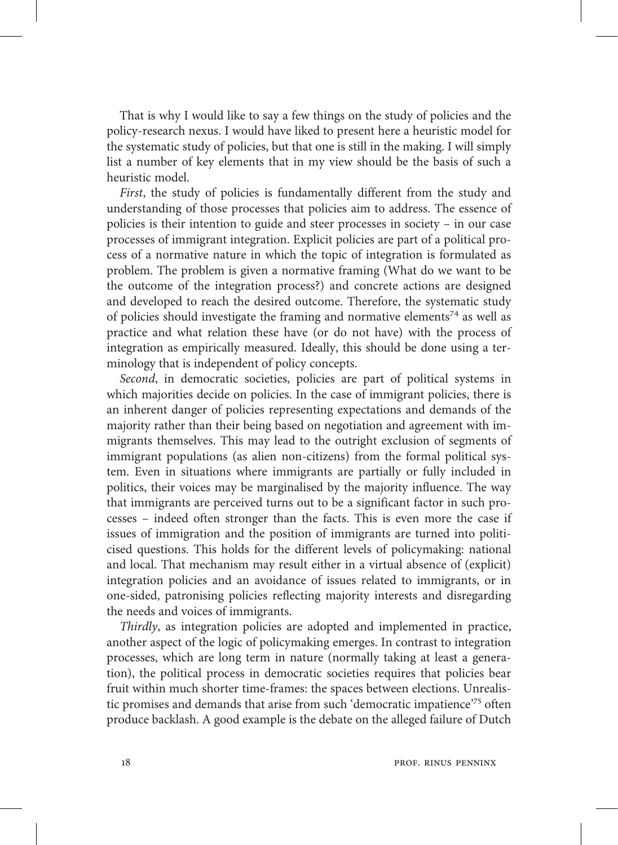That is why I would like to say a few things on the study of policies and the policy-research nexus. I would have liked to present here a heuristic model for the systematic study of policies, but that one is still in the making. I will simply list a number of key elements that in my view should be the basis of such a heuristic model.

First, the study of policies is fundamentally different from the study and understanding of those processes that policies aim to address. The essence of policies is their intention to guide and steer processes in society – in our case processes of immigrant integration. Explicit policies are part of a political process of a normative nature in which the topic of integration is formulated as problem. The problem is given a normative framing (What do we want to be the outcome of the integration process?) and concrete actions are designed and developed to reach the desired outcome. Therefore, the systematic study of policies should investigate the framing and normative elements<sup>74</sup> as well as practice and what relation these have (or do not have) with the process of integration as empirically measured. Ideally, this should be done using a terminology that is independent of policy concepts.

Second, in democratic societies, policies are part of political systems in which majorities decide on policies. In the case of immigrant policies, there is an inherent danger of policies representing expectations and demands of the majority rather than their being based on negotiation and agreement with immigrants themselves. This may lead to the outright exclusion of segments of immigrant populations (as alien non-citizens) from the formal political system. Even in situations where immigrants are partially or fully included in politics, their voices may be marginalised by the majority influence. The way that immigrants are perceived turns out to be a significant factor in such processes – indeed often stronger than the facts. This is even more the case if issues of immigration and the position of immigrants are turned into politicised questions. This holds for the different levels of policymaking: national and local. That mechanism may result either in a virtual absence of (explicit) integration policies and an avoidance of issues related to immigrants, or in one-sided, patronising policies reflecting majority interests and disregarding the needs and voices of immigrants.

Thirdly, as integration policies are adopted and implemented in practice, another aspect of the logic of policymaking emerges. In contrast to integration processes, which are long term in nature (normally taking at least a generation), the political process in democratic societies requires that policies bear fruit within much shorter time-frames: the spaces between elections. Unrealistic promises and demands that arise from such 'democratic impatience'<sup>75</sup> often produce backlash. A good example is the debate on the alleged failure of Dutch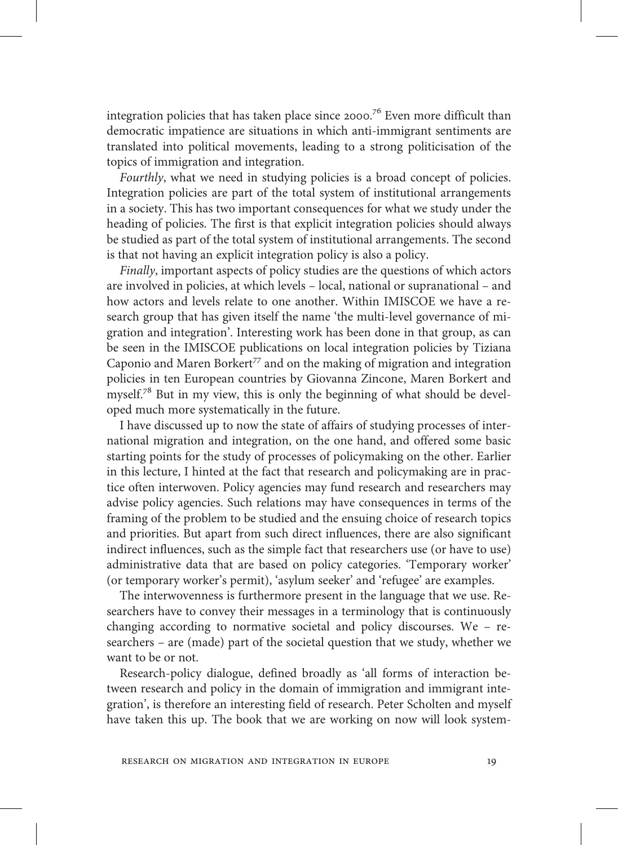integration policies that has taken place since  $2000.^{76}$  Even more difficult than democratic impatience are situations in which anti-immigrant sentiments are translated into political movements, leading to a strong politicisation of the topics of immigration and integration.

Fourthly, what we need in studying policies is a broad concept of policies. Integration policies are part of the total system of institutional arrangements in a society. This has two important consequences for what we study under the heading of policies. The first is that explicit integration policies should always be studied as part of the total system of institutional arrangements. The second is that not having an explicit integration policy is also a policy.

Finally, important aspects of policy studies are the questions of which actors are involved in policies, at which levels – local, national or supranational – and how actors and levels relate to one another. Within IMISCOE we have a research group that has given itself the name 'the multi-level governance of migration and integration'. Interesting work has been done in that group, as can be seen in the IMISCOE publications on local integration policies by Tiziana Caponio and Maren Borkert<sup>77</sup> and on the making of migration and integration policies in ten European countries by Giovanna Zincone, Maren Borkert and myself.<sup>78</sup> But in my view, this is only the beginning of what should be developed much more systematically in the future.

I have discussed up to now the state of affairs of studying processes of international migration and integration, on the one hand, and offered some basic starting points for the study of processes of policymaking on the other. Earlier in this lecture, I hinted at the fact that research and policymaking are in practice often interwoven. Policy agencies may fund research and researchers may advise policy agencies. Such relations may have consequences in terms of the framing of the problem to be studied and the ensuing choice of research topics and priorities. But apart from such direct influences, there are also significant indirect influences, such as the simple fact that researchers use (or have to use) administrative data that are based on policy categories. 'Temporary worker' (or temporary worker's permit), 'asylum seeker' and 'refugee' are examples.

The interwovenness is furthermore present in the language that we use. Researchers have to convey their messages in a terminology that is continuously changing according to normative societal and policy discourses. We – researchers – are (made) part of the societal question that we study, whether we want to be or not.

Research-policy dialogue, defined broadly as 'all forms of interaction between research and policy in the domain of immigration and immigrant integration', is therefore an interesting field of research. Peter Scholten and myself have taken this up. The book that we are working on now will look system-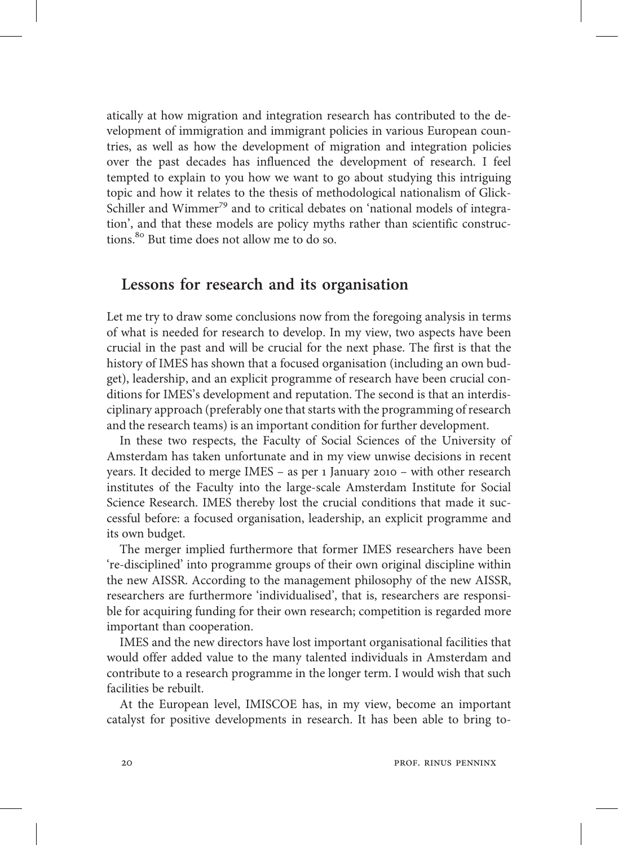atically at how migration and integration research has contributed to the development of immigration and immigrant policies in various European countries, as well as how the development of migration and integration policies over the past decades has influenced the development of research. I feel tempted to explain to you how we want to go about studying this intriguing topic and how it relates to the thesis of methodological nationalism of Glick-Schiller and Wimmer<sup>79</sup> and to critical debates on 'national models of integration', and that these models are policy myths rather than scientific constructions.<sup>80</sup> But time does not allow me to do so.

#### Lessons for research and its organisation

Let me try to draw some conclusions now from the foregoing analysis in terms of what is needed for research to develop. In my view, two aspects have been crucial in the past and will be crucial for the next phase. The first is that the history of IMES has shown that a focused organisation (including an own budget), leadership, and an explicit programme of research have been crucial conditions for IMES's development and reputation. The second is that an interdisciplinary approach (preferably one that starts with the programming of research and the research teams) is an important condition for further development.

In these two respects, the Faculty of Social Sciences of the University of Amsterdam has taken unfortunate and in my view unwise decisions in recent years. It decided to merge IMES - as per 1 January 2010 - with other research institutes of the Faculty into the large-scale Amsterdam Institute for Social Science Research. IMES thereby lost the crucial conditions that made it successful before: a focused organisation, leadership, an explicit programme and its own budget.

The merger implied furthermore that former IMES researchers have been 're-disciplined' into programme groups of their own original discipline within the new AISSR. According to the management philosophy of the new AISSR, researchers are furthermore 'individualised', that is, researchers are responsible for acquiring funding for their own research; competition is regarded more important than cooperation.

IMES and the new directors have lost important organisational facilities that would offer added value to the many talented individuals in Amsterdam and contribute to a research programme in the longer term. I would wish that such facilities be rebuilt.

At the European level, IMISCOE has, in my view, become an important catalyst for positive developments in research. It has been able to bring to-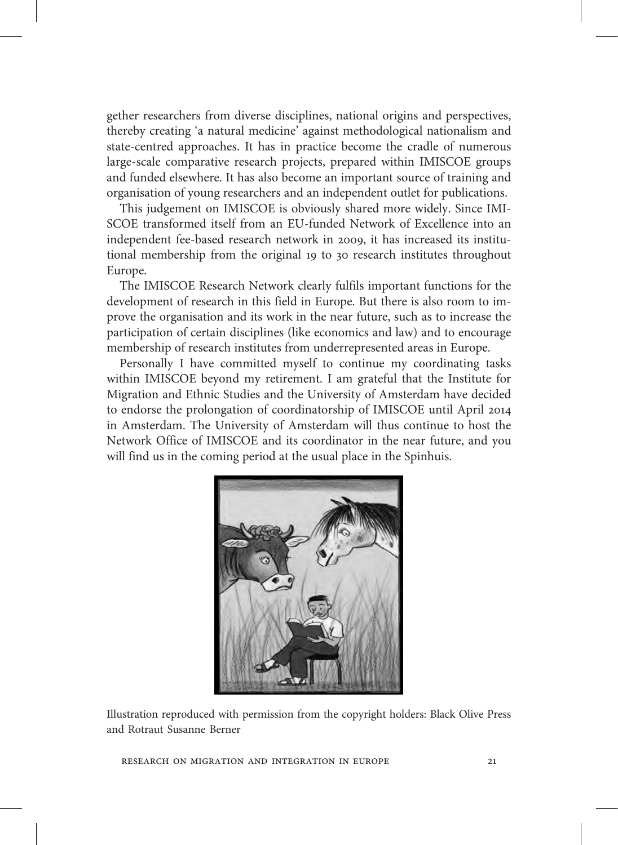gether researchers from diverse disciplines, national origins and perspectives, thereby creating 'a natural medicine' against methodological nationalism and state-centred approaches. It has in practice become the cradle of numerous large-scale comparative research projects, prepared within IMISCOE groups and funded elsewhere. It has also become an important source of training and organisation of young researchers and an independent outlet for publications.

This judgement on IMISCOE is obviously shared more widely. Since IMI-SCOE transformed itself from an EU-funded Network of Excellence into an independent fee-based research network in 2009, it has increased its institutional membership from the original 19 to 30 research institutes throughout Europe.

The IMISCOE Research Network clearly fulfils important functions for the development of research in this field in Europe. But there is also room to improve the organisation and its work in the near future, such as to increase the participation of certain disciplines (like economics and law) and to encourage membership of research institutes from underrepresented areas in Europe.

Personally I have committed myself to continue my coordinating tasks within IMISCOE beyond my retirement. I am grateful that the Institute for Migration and Ethnic Studies and the University of Amsterdam have decided to endorse the prolongation of coordinatorship of IMISCOE until April in Amsterdam. The University of Amsterdam will thus continue to host the Network Office of IMISCOE and its coordinator in the near future, and you will find us in the coming period at the usual place in the Spinhuis.



Illustration reproduced with permission from the copyright holders: Black Olive Press and Rotraut Susanne Berner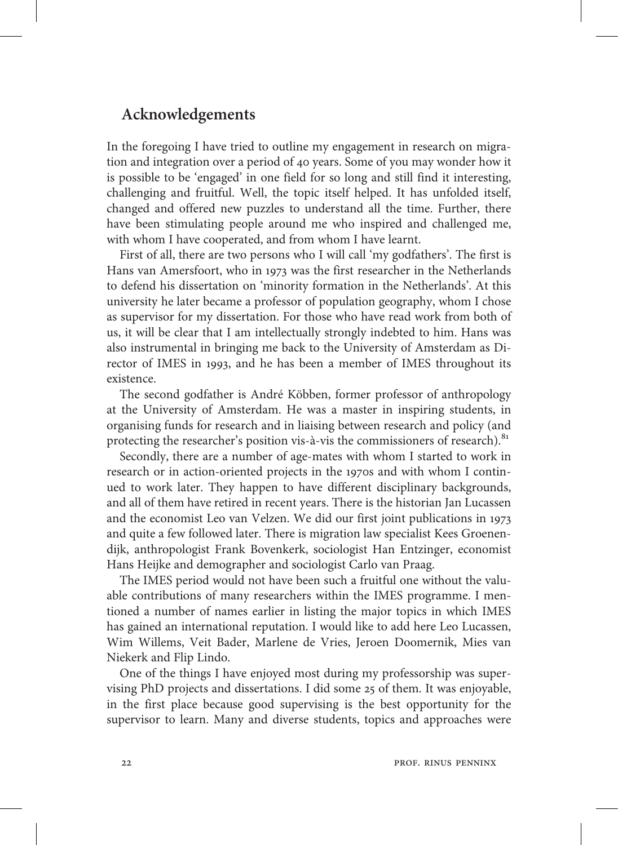#### Acknowledgements

In the foregoing I have tried to outline my engagement in research on migration and integration over a period of 40 years. Some of you may wonder how it is possible to be 'engaged' in one field for so long and still find it interesting, challenging and fruitful. Well, the topic itself helped. It has unfolded itself, changed and offered new puzzles to understand all the time. Further, there have been stimulating people around me who inspired and challenged me, with whom I have cooperated, and from whom I have learnt.

First of all, there are two persons who I will call 'my godfathers'. The first is Hans van Amersfoort, who in 1973 was the first researcher in the Netherlands to defend his dissertation on 'minority formation in the Netherlands'. At this university he later became a professor of population geography, whom I chose as supervisor for my dissertation. For those who have read work from both of us, it will be clear that I am intellectually strongly indebted to him. Hans was also instrumental in bringing me back to the University of Amsterdam as Director of IMES in 1993, and he has been a member of IMES throughout its existence.

The second godfather is André Köbben, former professor of anthropology at the University of Amsterdam. He was a master in inspiring students, in organising funds for research and in liaising between research and policy (and protecting the researcher's position vis-à-vis the commissioners of research).<sup>81</sup>

Secondly, there are a number of age-mates with whom I started to work in research or in action-oriented projects in the 1970s and with whom I continued to work later. They happen to have different disciplinary backgrounds, and all of them have retired in recent years. There is the historian Jan Lucassen and the economist Leo van Velzen. We did our first joint publications in and quite a few followed later. There is migration law specialist Kees Groenendijk, anthropologist Frank Bovenkerk, sociologist Han Entzinger, economist Hans Heijke and demographer and sociologist Carlo van Praag.

The IMES period would not have been such a fruitful one without the valuable contributions of many researchers within the IMES programme. I mentioned a number of names earlier in listing the major topics in which IMES has gained an international reputation. I would like to add here Leo Lucassen, Wim Willems, Veit Bader, Marlene de Vries, Jeroen Doomernik, Mies van Niekerk and Flip Lindo.

One of the things I have enjoyed most during my professorship was supervising PhD projects and dissertations. I did some 25 of them. It was enjoyable, in the first place because good supervising is the best opportunity for the supervisor to learn. Many and diverse students, topics and approaches were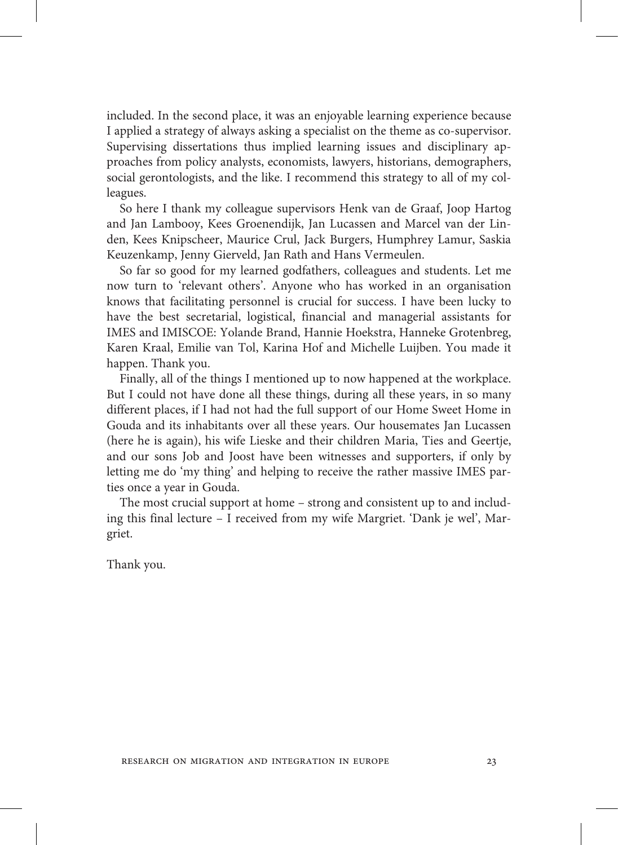included. In the second place, it was an enjoyable learning experience because I applied a strategy of always asking a specialist on the theme as co-supervisor. Supervising dissertations thus implied learning issues and disciplinary approaches from policy analysts, economists, lawyers, historians, demographers, social gerontologists, and the like. I recommend this strategy to all of my colleagues.

So here I thank my colleague supervisors Henk van de Graaf, Joop Hartog and Jan Lambooy, Kees Groenendijk, Jan Lucassen and Marcel van der Linden, Kees Knipscheer, Maurice Crul, Jack Burgers, Humphrey Lamur, Saskia Keuzenkamp, Jenny Gierveld, Jan Rath and Hans Vermeulen.

So far so good for my learned godfathers, colleagues and students. Let me now turn to 'relevant others'. Anyone who has worked in an organisation knows that facilitating personnel is crucial for success. I have been lucky to have the best secretarial, logistical, financial and managerial assistants for IMES and IMISCOE: Yolande Brand, Hannie Hoekstra, Hanneke Grotenbreg, Karen Kraal, Emilie van Tol, Karina Hof and Michelle Luijben. You made it happen. Thank you.

Finally, all of the things I mentioned up to now happened at the workplace. But I could not have done all these things, during all these years, in so many different places, if I had not had the full support of our Home Sweet Home in Gouda and its inhabitants over all these years. Our housemates Jan Lucassen (here he is again), his wife Lieske and their children Maria, Ties and Geertje, and our sons Job and Joost have been witnesses and supporters, if only by letting me do 'my thing' and helping to receive the rather massive IMES parties once a year in Gouda.

The most crucial support at home – strong and consistent up to and including this final lecture – I received from my wife Margriet. 'Dank je wel', Margriet.

Thank you.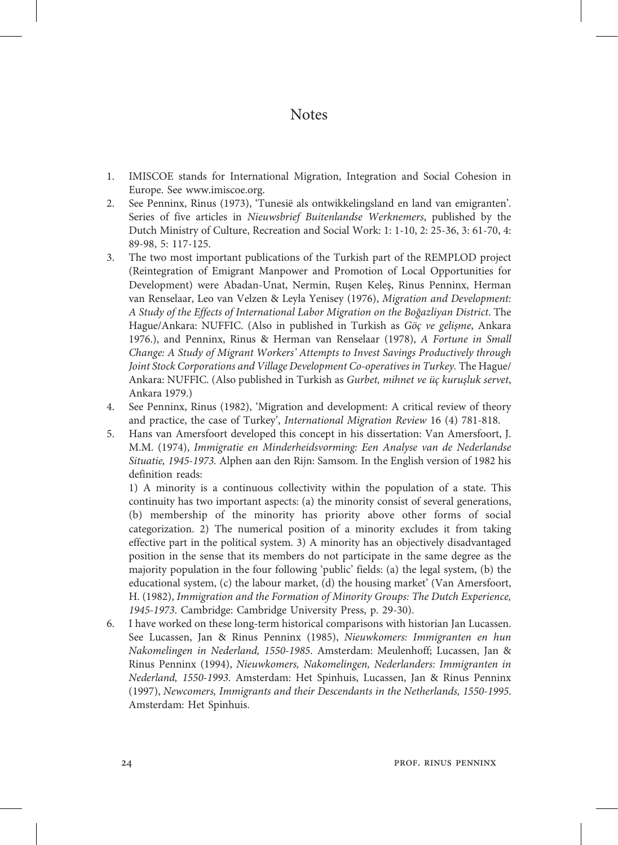#### Notes

- 1. IMISCOE stands for International Migration, Integration and Social Cohesion in Europe. See www.imiscoe.org.
- 2. See Penninx, Rinus (1973), 'Tunesië als ontwikkelingsland en land van emigranten'. Series of five articles in Nieuwsbrief Buitenlandse Werknemers, published by the Dutch Ministry of Culture, Recreation and Social Work: 1: 1-10, 2: 25-36, 3: 61-70, 4: 89-98, 5: 117-125.
- 3. The two most important publications of the Turkish part of the REMPLOD project (Reintegration of Emigrant Manpower and Promotion of Local Opportunities for Development) were Abadan-Unat, Nermin, Ruşen Keleş, Rinus Penninx, Herman van Renselaar, Leo van Velzen & Leyla Yenisey (1976), Migration and Development: A Study of the Effects of International Labor Migration on the Boğazliyan District. The Hague/Ankara: NUFFIC. (Also in published in Turkish as Göç ve gelişme, Ankara 1976.), and Penninx, Rinus & Herman van Renselaar (1978), A Fortune in Small Change: A Study of Migrant Workers' Attempts to Invest Savings Productively through Joint Stock Corporations and Village Development Co-operatives in Turkey. The Hague/ Ankara: NUFFIC. (Also published in Turkish as Gurbet, mihnet ve üç kuruşluk servet, Ankara 1979.)
- 4. See Penninx, Rinus (1982), 'Migration and development: A critical review of theory and practice, the case of Turkey', International Migration Review 16 (4) 781-818.
- 5. Hans van Amersfoort developed this concept in his dissertation: Van Amersfoort, J. M.M. (1974), Immigratie en Minderheidsvorming: Een Analyse van de Nederlandse Situatie, 1945-1973. Alphen aan den Rijn: Samsom. In the English version of 1982 his definition reads:

1) A minority is a continuous collectivity within the population of a state. This continuity has two important aspects: (a) the minority consist of several generations, (b) membership of the minority has priority above other forms of social categorization. 2) The numerical position of a minority excludes it from taking effective part in the political system. 3) A minority has an objectively disadvantaged position in the sense that its members do not participate in the same degree as the majority population in the four following 'public' fields: (a) the legal system, (b) the educational system, (c) the labour market, (d) the housing market' (Van Amersfoort, H. (1982), Immigration and the Formation of Minority Groups: The Dutch Experience, 1945-1973. Cambridge: Cambridge University Press, p. 29-30).

6. I have worked on these long-term historical comparisons with historian Jan Lucassen. See Lucassen, Jan & Rinus Penninx (1985), Nieuwkomers: Immigranten en hun Nakomelingen in Nederland, 1550-1985. Amsterdam: Meulenhoff; Lucassen, Jan & Rinus Penninx (1994), Nieuwkomers, Nakomelingen, Nederlanders: Immigranten in Nederland, 1550-1993. Amsterdam: Het Spinhuis, Lucassen, Jan & Rinus Penninx (1997), Newcomers, Immigrants and their Descendants in the Netherlands, 1550-1995. Amsterdam: Het Spinhuis.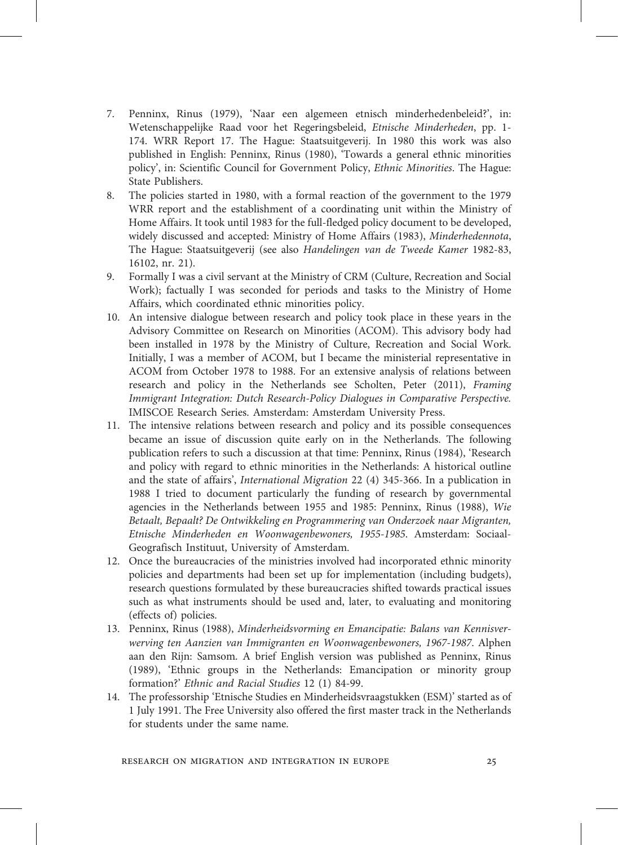- 7. Penninx, Rinus (1979), 'Naar een algemeen etnisch minderhedenbeleid?', in: Wetenschappelijke Raad voor het Regeringsbeleid, Etnische Minderheden, pp. 1- 174. WRR Report 17. The Hague: Staatsuitgeverij. In 1980 this work was also published in English: Penninx, Rinus (1980), 'Towards a general ethnic minorities policy', in: Scientific Council for Government Policy, Ethnic Minorities. The Hague: State Publishers.
- 8. The policies started in 1980, with a formal reaction of the government to the 1979 WRR report and the establishment of a coordinating unit within the Ministry of Home Affairs. It took until 1983 for the full-fledged policy document to be developed, widely discussed and accepted: Ministry of Home Affairs (1983), Minderhedennota, The Hague: Staatsuitgeverij (see also Handelingen van de Tweede Kamer 1982-83, 16102, nr. 21).
- 9. Formally I was a civil servant at the Ministry of CRM (Culture, Recreation and Social Work); factually I was seconded for periods and tasks to the Ministry of Home Affairs, which coordinated ethnic minorities policy.
- 10. An intensive dialogue between research and policy took place in these years in the Advisory Committee on Research on Minorities (ACOM). This advisory body had been installed in 1978 by the Ministry of Culture, Recreation and Social Work. Initially, I was a member of ACOM, but I became the ministerial representative in ACOM from October 1978 to 1988. For an extensive analysis of relations between research and policy in the Netherlands see Scholten, Peter (2011), Framing Immigrant Integration: Dutch Research-Policy Dialogues in Comparative Perspective. IMISCOE Research Series. Amsterdam: Amsterdam University Press.
- 11. The intensive relations between research and policy and its possible consequences became an issue of discussion quite early on in the Netherlands. The following publication refers to such a discussion at that time: Penninx, Rinus (1984), 'Research and policy with regard to ethnic minorities in the Netherlands: A historical outline and the state of affairs', International Migration 22 (4) 345-366. In a publication in 1988 I tried to document particularly the funding of research by governmental agencies in the Netherlands between 1955 and 1985: Penninx, Rinus (1988), Wie Betaalt, Bepaalt? De Ontwikkeling en Programmering van Onderzoek naar Migranten, Etnische Minderheden en Woonwagenbewoners, 1955-1985. Amsterdam: Sociaal-Geografisch Instituut, University of Amsterdam.
- 12. Once the bureaucracies of the ministries involved had incorporated ethnic minority policies and departments had been set up for implementation (including budgets), research questions formulated by these bureaucracies shifted towards practical issues such as what instruments should be used and, later, to evaluating and monitoring (effects of) policies.
- 13. Penninx, Rinus (1988), Minderheidsvorming en Emancipatie: Balans van Kennisverwerving ten Aanzien van Immigranten en Woonwagenbewoners, 1967-1987. Alphen aan den Rijn: Samsom. A brief English version was published as Penninx, Rinus (1989), 'Ethnic groups in the Netherlands: Emancipation or minority group formation?' Ethnic and Racial Studies 12 (1) 84-99.
- 14. The professorship 'Etnische Studies en Minderheidsvraagstukken (ESM)' started as of 1 July 1991. The Free University also offered the first master track in the Netherlands for students under the same name.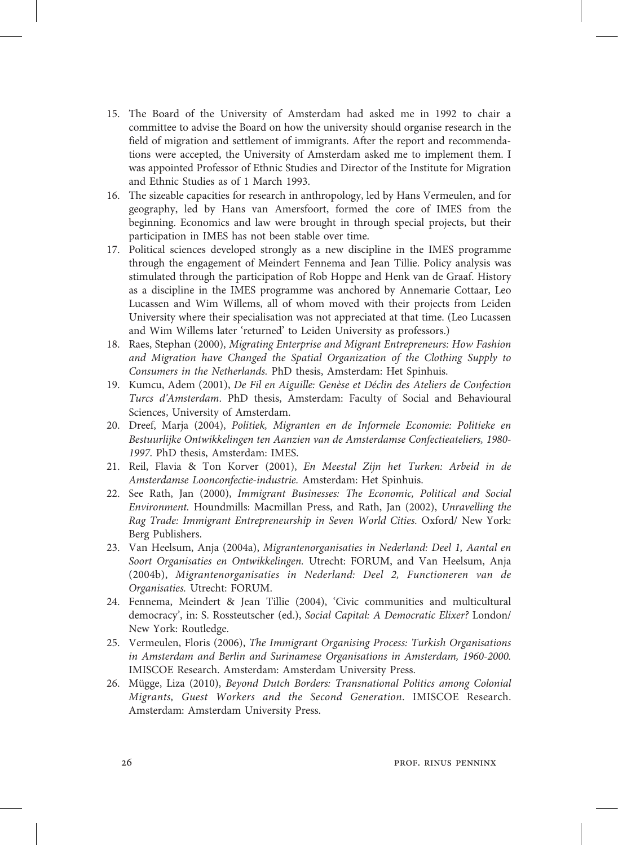- 15. The Board of the University of Amsterdam had asked me in 1992 to chair a committee to advise the Board on how the university should organise research in the field of migration and settlement of immigrants. After the report and recommendations were accepted, the University of Amsterdam asked me to implement them. I was appointed Professor of Ethnic Studies and Director of the Institute for Migration and Ethnic Studies as of 1 March 1993.
- 16. The sizeable capacities for research in anthropology, led by Hans Vermeulen, and for geography, led by Hans van Amersfoort, formed the core of IMES from the beginning. Economics and law were brought in through special projects, but their participation in IMES has not been stable over time.
- 17. Political sciences developed strongly as a new discipline in the IMES programme through the engagement of Meindert Fennema and Jean Tillie. Policy analysis was stimulated through the participation of Rob Hoppe and Henk van de Graaf. History as a discipline in the IMES programme was anchored by Annemarie Cottaar, Leo Lucassen and Wim Willems, all of whom moved with their projects from Leiden University where their specialisation was not appreciated at that time. (Leo Lucassen and Wim Willems later 'returned' to Leiden University as professors.)
- 18. Raes, Stephan (2000), Migrating Enterprise and Migrant Entrepreneurs: How Fashion and Migration have Changed the Spatial Organization of the Clothing Supply to Consumers in the Netherlands. PhD thesis, Amsterdam: Het Spinhuis.
- 19. Kumcu, Adem (2001), De Fil en Aiguille: Genèse et Déclin des Ateliers de Confection Turcs d'Amsterdam. PhD thesis, Amsterdam: Faculty of Social and Behavioural Sciences, University of Amsterdam.
- 20. Dreef, Marja (2004), Politiek, Migranten en de Informele Economie: Politieke en Bestuurlijke Ontwikkelingen ten Aanzien van de Amsterdamse Confectieateliers, 1980- 1997. PhD thesis, Amsterdam: IMES.
- 21. Reil, Flavia & Ton Korver (2001), En Meestal Zijn het Turken: Arbeid in de Amsterdamse Loonconfectie-industrie. Amsterdam: Het Spinhuis.
- 22. See Rath, Jan (2000), Immigrant Businesses: The Economic, Political and Social Environment. Houndmills: Macmillan Press, and Rath, Jan (2002), Unravelling the Rag Trade: Immigrant Entrepreneurship in Seven World Cities. Oxford/ New York: Berg Publishers.
- 23. Van Heelsum, Anja (2004a), Migrantenorganisaties in Nederland: Deel 1, Aantal en Soort Organisaties en Ontwikkelingen. Utrecht: FORUM, and Van Heelsum, Anja (2004b), Migrantenorganisaties in Nederland: Deel 2, Functioneren van de Organisaties. Utrecht: FORUM.
- 24. Fennema, Meindert & Jean Tillie (2004), 'Civic communities and multicultural democracy', in: S. Rossteutscher (ed.), Social Capital: A Democratic Elixer? London/ New York: Routledge.
- 25. Vermeulen, Floris (2006), The Immigrant Organising Process: Turkish Organisations in Amsterdam and Berlin and Surinamese Organisations in Amsterdam, 1960-2000. IMISCOE Research. Amsterdam: Amsterdam University Press.
- 26. Mügge, Liza (2010), Beyond Dutch Borders: Transnational Politics among Colonial Migrants, Guest Workers and the Second Generation. IMISCOE Research. Amsterdam: Amsterdam University Press.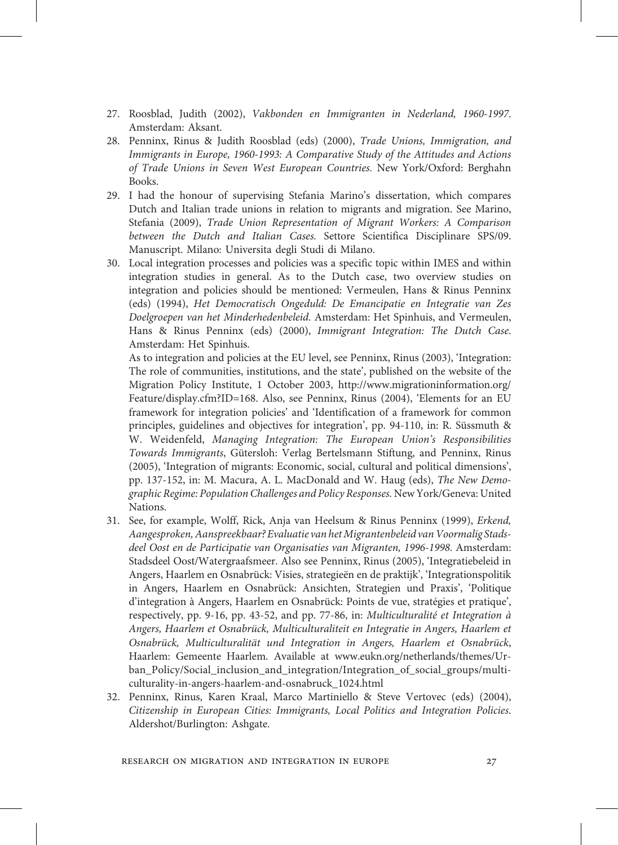- 27. Roosblad, Judith (2002), Vakbonden en Immigranten in Nederland, 1960-1997. Amsterdam: Aksant.
- 28. Penninx, Rinus & Judith Roosblad (eds) (2000), Trade Unions, Immigration, and Immigrants in Europe, 1960-1993: A Comparative Study of the Attitudes and Actions of Trade Unions in Seven West European Countries. New York/Oxford: Berghahn Books.
- 29. I had the honour of supervising Stefania Marino's dissertation, which compares Dutch and Italian trade unions in relation to migrants and migration. See Marino, Stefania (2009), Trade Union Representation of Migrant Workers: A Comparison between the Dutch and Italian Cases. Settore Scientifica Disciplinare SPS/09. Manuscript. Milano: Universita degli Studi di Milano.
- 30. Local integration processes and policies was a specific topic within IMES and within integration studies in general. As to the Dutch case, two overview studies on integration and policies should be mentioned: Vermeulen, Hans & Rinus Penninx (eds) (1994), Het Democratisch Ongeduld: De Emancipatie en Integratie van Zes Doelgroepen van het Minderhedenbeleid. Amsterdam: Het Spinhuis, and Vermeulen, Hans & Rinus Penninx (eds) (2000), Immigrant Integration: The Dutch Case. Amsterdam: Het Spinhuis.

As to integration and policies at the EU level, see Penninx, Rinus (2003), 'Integration: The role of communities, institutions, and the state', published on the website of the Migration Policy Institute, 1 October 2003, http://www.migrationinformation.org/ Feature/display.cfm?ID=168. Also, see Penninx, Rinus (2004), 'Elements for an EU framework for integration policies' and 'Identification of a framework for common principles, guidelines and objectives for integration', pp. 94-110, in: R. Süssmuth & W. Weidenfeld, Managing Integration: The European Union's Responsibilities Towards Immigrants, Gütersloh: Verlag Bertelsmann Stiftung, and Penninx, Rinus (2005), 'Integration of migrants: Economic, social, cultural and political dimensions', pp. 137-152, in: M. Macura, A. L. MacDonald and W. Haug (eds), The New Demographic Regime: Population Challenges and Policy Responses. New York/Geneva: United Nations.

- 31. See, for example, Wolff, Rick, Anja van Heelsum & Rinus Penninx (1999), Erkend, Aangesproken, Aanspreekbaar? Evaluatie van het Migrantenbeleid van Voormalig Stadsdeel Oost en de Participatie van Organisaties van Migranten, 1996-1998. Amsterdam: Stadsdeel Oost/Watergraafsmeer. Also see Penninx, Rinus (2005), 'Integratiebeleid in Angers, Haarlem en Osnabrück: Visies, strategieën en de praktijk', 'Integrationspolitik in Angers, Haarlem en Osnabrück: Ansichten, Strategien und Praxis', 'Politique d'integration à Angers, Haarlem en Osnabrück: Points de vue, stratégies et pratique', respectively, pp. 9-16, pp. 43-52, and pp. 77-86, in: Multiculturalité et Integration à Angers, Haarlem et Osnabrück, Multiculturaliteit en Integratie in Angers, Haarlem et Osnabrück, Multiculturalität und Integration in Angers, Haarlem et Osnabrück, Haarlem: Gemeente Haarlem. Available at www.eukn.org/netherlands/themes/Urban\_Policy/Social\_inclusion\_and\_integration/Integration\_of\_social\_groups/multiculturality-in-angers-haarlem-and-osnabruck\_1024.html
- 32. Penninx, Rinus, Karen Kraal, Marco Martiniello & Steve Vertovec (eds) (2004), Citizenship in European Cities: Immigrants, Local Politics and Integration Policies. Aldershot/Burlington: Ashgate.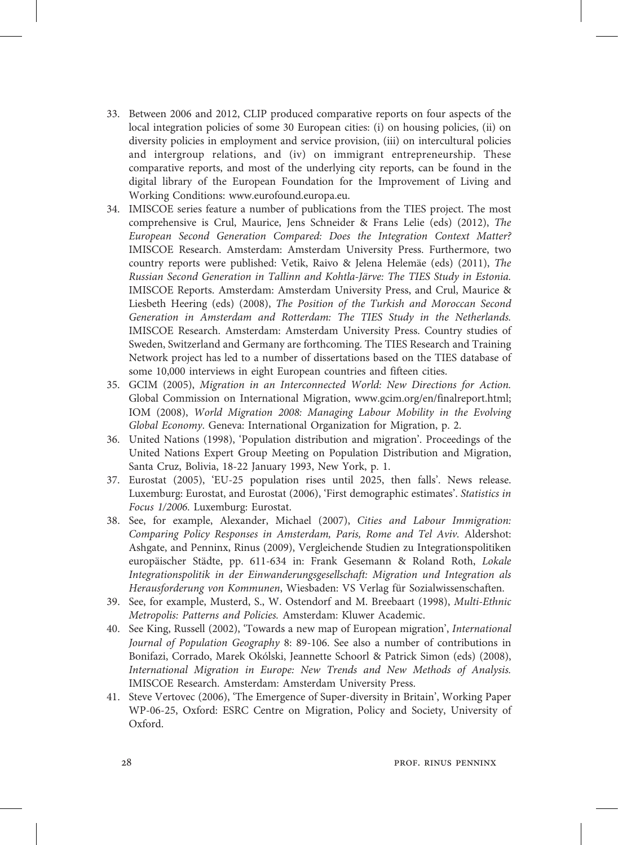- 33. Between 2006 and 2012, CLIP produced comparative reports on four aspects of the local integration policies of some 30 European cities: (i) on housing policies, (ii) on diversity policies in employment and service provision, (iii) on intercultural policies and intergroup relations, and (iv) on immigrant entrepreneurship. These comparative reports, and most of the underlying city reports, can be found in the digital library of the European Foundation for the Improvement of Living and Working Conditions: www.eurofound.europa.eu.
- 34. IMISCOE series feature a number of publications from the TIES project. The most comprehensive is Crul, Maurice, Jens Schneider & Frans Lelie (eds) (2012), The European Second Generation Compared: Does the Integration Context Matter? IMISCOE Research. Amsterdam: Amsterdam University Press. Furthermore, two country reports were published: Vetik, Raivo & Jelena Helemäe (eds) (2011), The Russian Second Generation in Tallinn and Kohtla-Järve: The TIES Study in Estonia. IMISCOE Reports. Amsterdam: Amsterdam University Press, and Crul, Maurice & Liesbeth Heering (eds) (2008), The Position of the Turkish and Moroccan Second Generation in Amsterdam and Rotterdam: The TIES Study in the Netherlands. IMISCOE Research. Amsterdam: Amsterdam University Press. Country studies of Sweden, Switzerland and Germany are forthcoming. The TIES Research and Training Network project has led to a number of dissertations based on the TIES database of some 10,000 interviews in eight European countries and fifteen cities.
- 35. GCIM (2005), Migration in an Interconnected World: New Directions for Action. Global Commission on International Migration, www.gcim.org/en/finalreport.html; IOM (2008), World Migration 2008: Managing Labour Mobility in the Evolving Global Economy. Geneva: International Organization for Migration, p. 2.
- 36. United Nations (1998), 'Population distribution and migration'. Proceedings of the United Nations Expert Group Meeting on Population Distribution and Migration, Santa Cruz, Bolivia, 18-22 January 1993, New York, p. 1.
- 37. Eurostat (2005), 'EU-25 population rises until 2025, then falls'. News release. Luxemburg: Eurostat, and Eurostat (2006), 'First demographic estimates'. Statistics in Focus 1/2006. Luxemburg: Eurostat.
- 38. See, for example, Alexander, Michael (2007), Cities and Labour Immigration: Comparing Policy Responses in Amsterdam, Paris, Rome and Tel Aviv. Aldershot: Ashgate, and Penninx, Rinus (2009), Vergleichende Studien zu Integrationspolitiken europäischer Städte, pp. 611-634 in: Frank Gesemann & Roland Roth, Lokale Integrationspolitik in der Einwanderungsgesellschaft: Migration und Integration als Herausforderung von Kommunen, Wiesbaden: VS Verlag für Sozialwissenschaften.
- 39. See, for example, Musterd, S., W. Ostendorf and M. Breebaart (1998), Multi-Ethnic Metropolis: Patterns and Policies. Amsterdam: Kluwer Academic.
- 40. See King, Russell (2002), 'Towards a new map of European migration', International Journal of Population Geography 8: 89-106. See also a number of contributions in Bonifazi, Corrado, Marek Okólski, Jeannette Schoorl & Patrick Simon (eds) (2008), International Migration in Europe: New Trends and New Methods of Analysis. IMISCOE Research. Amsterdam: Amsterdam University Press.
- 41. Steve Vertovec (2006), 'The Emergence of Super-diversity in Britain', Working Paper WP-06-25, Oxford: ESRC Centre on Migration, Policy and Society, University of Oxford.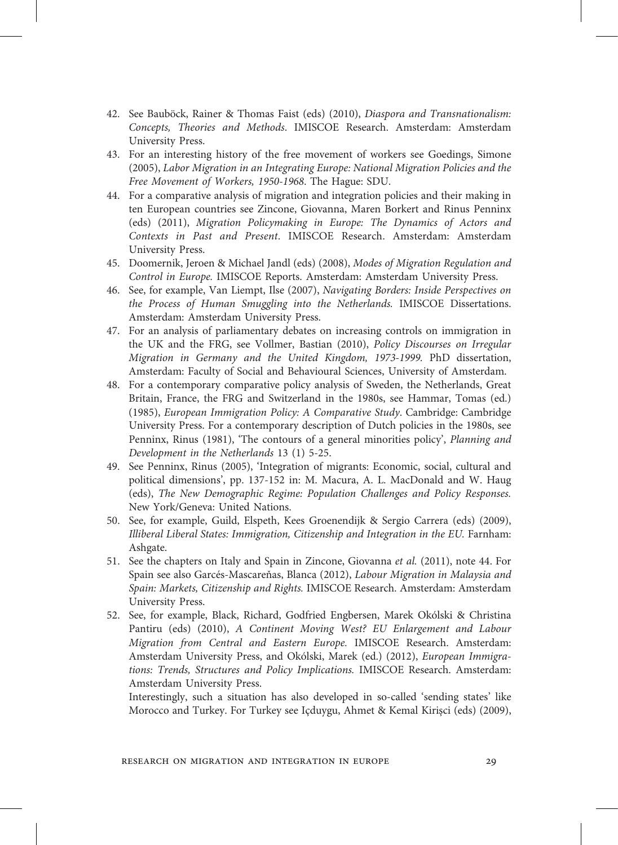- 42. See Bauböck, Rainer & Thomas Faist (eds) (2010), Diaspora and Transnationalism: Concepts, Theories and Methods. IMISCOE Research. Amsterdam: Amsterdam University Press.
- 43. For an interesting history of the free movement of workers see Goedings, Simone (2005), Labor Migration in an Integrating Europe: National Migration Policies and the Free Movement of Workers, 1950-1968. The Hague: SDU.
- 44. For a comparative analysis of migration and integration policies and their making in ten European countries see Zincone, Giovanna, Maren Borkert and Rinus Penninx (eds) (2011), Migration Policymaking in Europe: The Dynamics of Actors and Contexts in Past and Present. IMISCOE Research. Amsterdam: Amsterdam University Press.
- 45. Doomernik, Jeroen & Michael Jandl (eds) (2008), Modes of Migration Regulation and Control in Europe. IMISCOE Reports. Amsterdam: Amsterdam University Press.
- 46. See, for example, Van Liempt, Ilse (2007), Navigating Borders: Inside Perspectives on the Process of Human Smuggling into the Netherlands. IMISCOE Dissertations. Amsterdam: Amsterdam University Press.
- 47. For an analysis of parliamentary debates on increasing controls on immigration in the UK and the FRG, see Vollmer, Bastian (2010), Policy Discourses on Irregular Migration in Germany and the United Kingdom, 1973-1999. PhD dissertation, Amsterdam: Faculty of Social and Behavioural Sciences, University of Amsterdam.
- 48. For a contemporary comparative policy analysis of Sweden, the Netherlands, Great Britain, France, the FRG and Switzerland in the 1980s, see Hammar, Tomas (ed.) (1985), European Immigration Policy: A Comparative Study. Cambridge: Cambridge University Press. For a contemporary description of Dutch policies in the 1980s, see Penninx, Rinus (1981), 'The contours of a general minorities policy', Planning and Development in the Netherlands 13 (1) 5-25.
- 49. See Penninx, Rinus (2005), 'Integration of migrants: Economic, social, cultural and political dimensions', pp. 137-152 in: M. Macura, A. L. MacDonald and W. Haug (eds), The New Demographic Regime: Population Challenges and Policy Responses. New York/Geneva: United Nations.
- 50. See, for example, Guild, Elspeth, Kees Groenendijk & Sergio Carrera (eds) (2009), Illiberal Liberal States: Immigration, Citizenship and Integration in the EU. Farnham: Ashgate.
- 51. See the chapters on Italy and Spain in Zincone, Giovanna et al. (2011), note 44. For Spain see also Garcés-Mascareňas, Blanca (2012), Labour Migration in Malaysia and Spain: Markets, Citizenship and Rights. IMISCOE Research. Amsterdam: Amsterdam University Press.
- 52. See, for example, Black, Richard, Godfried Engbersen, Marek Okólski & Christina Pantiru (eds) (2010), A Continent Moving West? EU Enlargement and Labour Migration from Central and Eastern Europe. IMISCOE Research. Amsterdam: Amsterdam University Press, and Okólski, Marek (ed.) (2012), European Immigrations: Trends, Structures and Policy Implications. IMISCOE Research. Amsterdam: Amsterdam University Press.

Interestingly, such a situation has also developed in so-called 'sending states' like Morocco and Turkey. For Turkey see Içduygu, Ahmet & Kemal Kirişci (eds) (2009),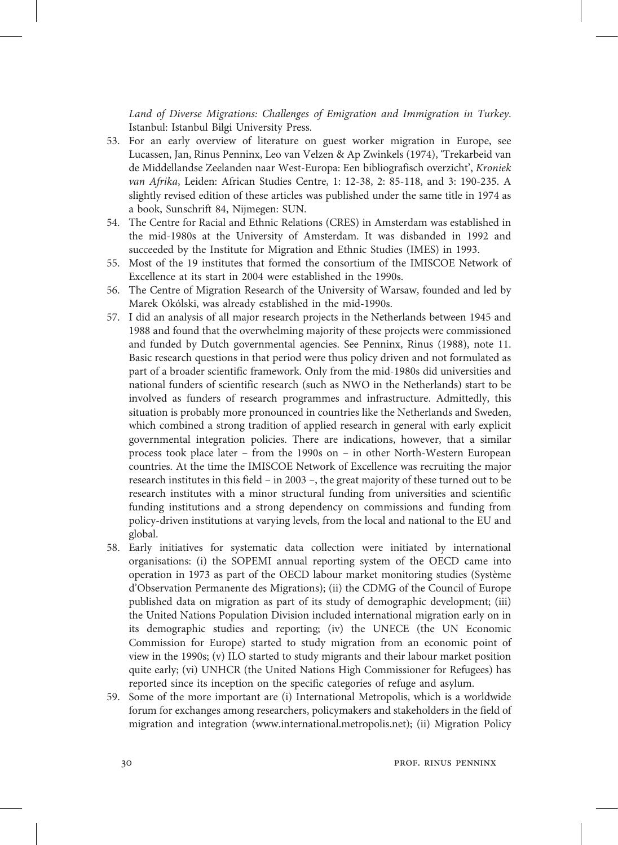Land of Diverse Migrations: Challenges of Emigration and Immigration in Turkey. Istanbul: Istanbul Bilgi University Press.

- 53. For an early overview of literature on guest worker migration in Europe, see Lucassen, Jan, Rinus Penninx, Leo van Velzen & Ap Zwinkels (1974), 'Trekarbeid van de Middellandse Zeelanden naar West-Europa: Een bibliografisch overzicht', Kroniek van Afrika, Leiden: African Studies Centre, 1: 12-38, 2: 85-118, and 3: 190-235. A slightly revised edition of these articles was published under the same title in 1974 as a book, Sunschrift 84, Nijmegen: SUN.
- 54. The Centre for Racial and Ethnic Relations (CRES) in Amsterdam was established in the mid-1980s at the University of Amsterdam. It was disbanded in 1992 and succeeded by the Institute for Migration and Ethnic Studies (IMES) in 1993.
- 55. Most of the 19 institutes that formed the consortium of the IMISCOE Network of Excellence at its start in 2004 were established in the 1990s.
- 56. The Centre of Migration Research of the University of Warsaw, founded and led by Marek Okólski, was already established in the mid-1990s.
- 57. I did an analysis of all major research projects in the Netherlands between 1945 and 1988 and found that the overwhelming majority of these projects were commissioned and funded by Dutch governmental agencies. See Penninx, Rinus (1988), note 11. Basic research questions in that period were thus policy driven and not formulated as part of a broader scientific framework. Only from the mid-1980s did universities and national funders of scientific research (such as NWO in the Netherlands) start to be involved as funders of research programmes and infrastructure. Admittedly, this situation is probably more pronounced in countries like the Netherlands and Sweden, which combined a strong tradition of applied research in general with early explicit governmental integration policies. There are indications, however, that a similar process took place later – from the 1990s on – in other North-Western European countries. At the time the IMISCOE Network of Excellence was recruiting the major research institutes in this field – in 2003 –, the great majority of these turned out to be research institutes with a minor structural funding from universities and scientific funding institutions and a strong dependency on commissions and funding from policy-driven institutions at varying levels, from the local and national to the EU and global.
- 58. Early initiatives for systematic data collection were initiated by international organisations: (i) the SOPEMI annual reporting system of the OECD came into operation in 1973 as part of the OECD labour market monitoring studies (Système d'Observation Permanente des Migrations); (ii) the CDMG of the Council of Europe published data on migration as part of its study of demographic development; (iii) the United Nations Population Division included international migration early on in its demographic studies and reporting; (iv) the UNECE (the UN Economic Commission for Europe) started to study migration from an economic point of view in the 1990s; (v) ILO started to study migrants and their labour market position quite early; (vi) UNHCR (the United Nations High Commissioner for Refugees) has reported since its inception on the specific categories of refuge and asylum.
- 59. Some of the more important are (i) International Metropolis, which is a worldwide forum for exchanges among researchers, policymakers and stakeholders in the field of migration and integration (www.international.metropolis.net); (ii) Migration Policy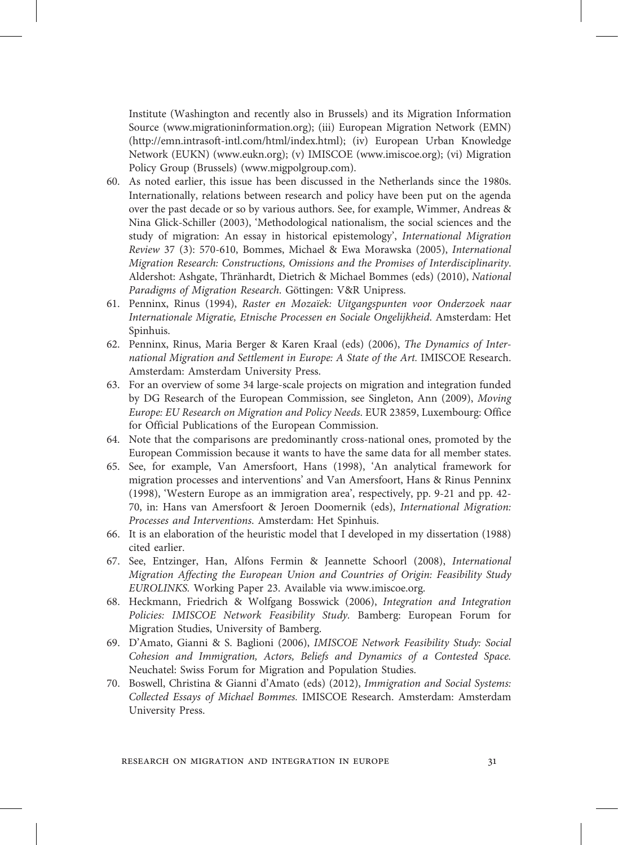Institute (Washington and recently also in Brussels) and its Migration Information Source (www.migrationinformation.org); (iii) European Migration Network (EMN) (http://emn.intrasoft-intl.com/html/index.html); (iv) European Urban Knowledge Network (EUKN) (www.eukn.org); (v) IMISCOE (www.imiscoe.org); (vi) Migration Policy Group (Brussels) (www.migpolgroup.com).

- 60. As noted earlier, this issue has been discussed in the Netherlands since the 1980s. Internationally, relations between research and policy have been put on the agenda over the past decade or so by various authors. See, for example, Wimmer, Andreas & Nina Glick-Schiller (2003), 'Methodological nationalism, the social sciences and the study of migration: An essay in historical epistemology', International Migration Review 37 (3): 570-610, Bommes, Michael & Ewa Morawska (2005), International Migration Research: Constructions, Omissions and the Promises of Interdisciplinarity. Aldershot: Ashgate, Thränhardt, Dietrich & Michael Bommes (eds) (2010), National Paradigms of Migration Research. Göttingen: V&R Unipress.
- 61. Penninx, Rinus (1994), Raster en Mozaïek: Uitgangspunten voor Onderzoek naar Internationale Migratie, Etnische Processen en Sociale Ongelijkheid. Amsterdam: Het Spinhuis.
- 62. Penninx, Rinus, Maria Berger & Karen Kraal (eds) (2006), The Dynamics of International Migration and Settlement in Europe: A State of the Art. IMISCOE Research. Amsterdam: Amsterdam University Press.
- 63. For an overview of some 34 large-scale projects on migration and integration funded by DG Research of the European Commission, see Singleton, Ann (2009), Moving Europe: EU Research on Migration and Policy Needs. EUR 23859, Luxembourg: Office for Official Publications of the European Commission.
- 64. Note that the comparisons are predominantly cross-national ones, promoted by the European Commission because it wants to have the same data for all member states.
- 65. See, for example, Van Amersfoort, Hans (1998), 'An analytical framework for migration processes and interventions' and Van Amersfoort, Hans & Rinus Penninx (1998), 'Western Europe as an immigration area', respectively, pp. 9-21 and pp. 42- 70, in: Hans van Amersfoort & Jeroen Doomernik (eds), International Migration: Processes and Interventions. Amsterdam: Het Spinhuis.
- 66. It is an elaboration of the heuristic model that I developed in my dissertation (1988) cited earlier.
- 67. See, Entzinger, Han, Alfons Fermin & Jeannette Schoorl (2008), International Migration Affecting the European Union and Countries of Origin: Feasibility Study EUROLINKS. Working Paper 23. Available via www.imiscoe.org.
- 68. Heckmann, Friedrich & Wolfgang Bosswick (2006), Integration and Integration Policies: IMISCOE Network Feasibility Study. Bamberg: European Forum for Migration Studies, University of Bamberg.
- 69. D'Amato, Gianni & S. Baglioni (2006), IMISCOE Network Feasibility Study: Social Cohesion and Immigration, Actors, Beliefs and Dynamics of a Contested Space. Neuchatel: Swiss Forum for Migration and Population Studies.
- 70. Boswell, Christina & Gianni d'Amato (eds) (2012), Immigration and Social Systems: Collected Essays of Michael Bommes. IMISCOE Research. Amsterdam: Amsterdam University Press.